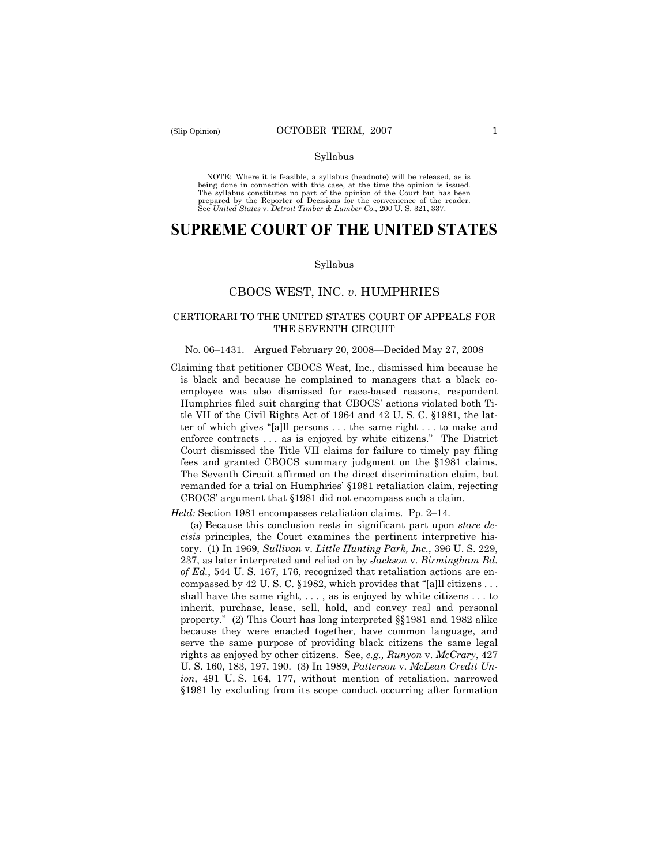#### Syllabus

 NOTE: Where it is feasible, a syllabus (headnote) will be released, as is being done in connection with this case, at the time the opinion is issued. The syllabus constitutes no part of the opinion of the Court but has been<br>prepared by the Reporter of Decisions for the convenience of the reader.<br>See United States v. Detroit Timber & Lumber Co., 200 U. S. 321, 337.

# **SUPREME COURT OF THE UNITED STATES**

#### Syllabus

### CBOCS WEST, INC. *v*. HUMPHRIES

### CERTIORARI TO THE UNITED STATES COURT OF APPEALS FOR THE SEVENTH CIRCUIT

#### No. 06–1431. Argued February 20, 2008—Decided May 27, 2008

 fees and granted CBOCS summary judgment on the §1981 claims. Claiming that petitioner CBOCS West, Inc., dismissed him because he is black and because he complained to managers that a black coemployee was also dismissed for race-based reasons, respondent Humphries filed suit charging that CBOCS' actions violated both Title VII of the Civil Rights Act of 1964 and 42 U. S. C. §1981, the latter of which gives "[a]ll persons . . . the same right . . . to make and enforce contracts . . . as is enjoyed by white citizens." The District Court dismissed the Title VII claims for failure to timely pay filing The Seventh Circuit affirmed on the direct discrimination claim, but remanded for a trial on Humphries' §1981 retaliation claim, rejecting CBOCS' argument that §1981 did not encompass such a claim.

*Held:* Section 1981 encompasses retaliation claims. Pp. 2–14.

(a) Because this conclusion rests in significant part upon *stare decisis* principles*,* the Court examines the pertinent interpretive history. (1) In 1969, *Sullivan* v. *Little Hunting Park, Inc.*, 396 U. S. 229, 237, as later interpreted and relied on by *Jackson* v. *Birmingham Bd. of Ed.*, 544 U. S. 167, 176, recognized that retaliation actions are encompassed by 42 U.S.C. §1982, which provides that "[a]ll citizens  $\dots$ shall have the same right,  $\dots$ , as is enjoyed by white citizens  $\dots$  to inherit, purchase, lease, sell, hold, and convey real and personal property." (2) This Court has long interpreted §§1981 and 1982 alike because they were enacted together, have common language, and serve the same purpose of providing black citizens the same legal rights as enjoyed by other citizens. See, *e.g., Runyon* v. *McCrary*, 427 U. S. 160, 183, 197, 190. (3) In 1989, *Patterson* v. *McLean Credit Union*, 491 U. S. 164, 177, without mention of retaliation, narrowed §1981 by excluding from its scope conduct occurring after formation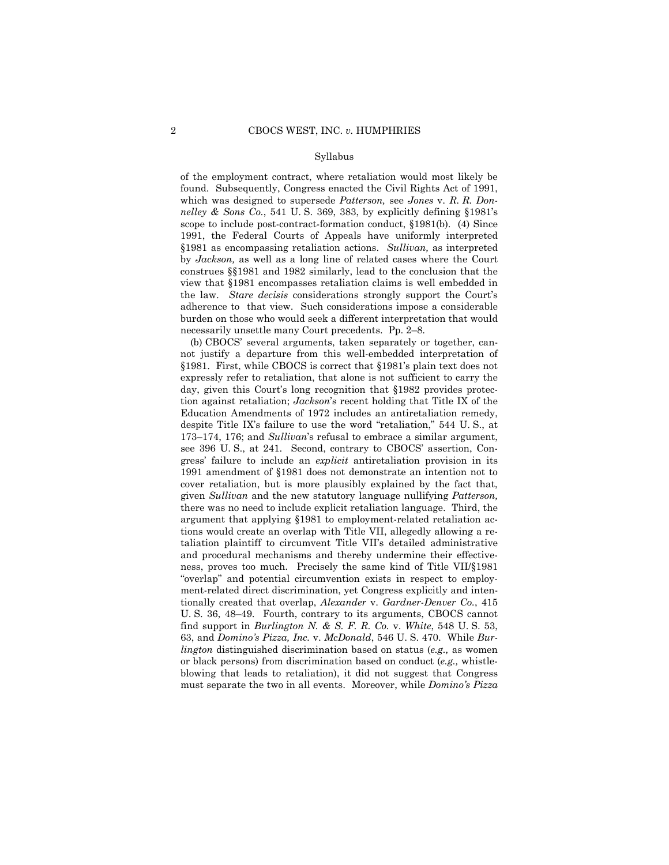#### Syllabus

 §1981 as encompassing retaliation actions. *Sullivan,* as interpreted of the employment contract, where retaliation would most likely be found. Subsequently, Congress enacted the Civil Rights Act of 1991, which was designed to supersede *Patterson,* see *Jones* v. *R. R. Donnelley & Sons Co.*, 541 U. S. 369, 383, by explicitly defining §1981's scope to include post-contract-formation conduct, §1981(b). (4) Since 1991, the Federal Courts of Appeals have uniformly interpreted by *Jackson,* as well as a long line of related cases where the Court construes §§1981 and 1982 similarly, lead to the conclusion that the view that §1981 encompasses retaliation claims is well embedded in the law. *Stare decisis* considerations strongly support the Court's adherence to that view. Such considerations impose a considerable burden on those who would seek a different interpretation that would necessarily unsettle many Court precedents. Pp. 2–8.

(b) CBOCS' several arguments, taken separately or together, cannot justify a departure from this well-embedded interpretation of §1981. First, while CBOCS is correct that §1981's plain text does not expressly refer to retaliation, that alone is not sufficient to carry the day, given this Court's long recognition that §1982 provides protection against retaliation; *Jackson*'s recent holding that Title IX of the Education Amendments of 1972 includes an antiretaliation remedy, despite Title IX's failure to use the word "retaliation," 544 U. S., at 173–174, 176; and *Sullivan*'s refusal to embrace a similar argument, see 396 U. S., at 241. Second, contrary to CBOCS' assertion, Congress' failure to include an *explicit* antiretaliation provision in its 1991 amendment of §1981 does not demonstrate an intention not to cover retaliation, but is more plausibly explained by the fact that, given *Sullivan* and the new statutory language nullifying *Patterson,*  there was no need to include explicit retaliation language. Third, the argument that applying §1981 to employment-related retaliation actions would create an overlap with Title VII, allegedly allowing a retaliation plaintiff to circumvent Title VII's detailed administrative and procedural mechanisms and thereby undermine their effectiveness, proves too much. Precisely the same kind of Title VII/§1981 "overlap" and potential circumvention exists in respect to employment-related direct discrimination, yet Congress explicitly and intentionally created that overlap, *Alexander* v. *Gardner-Denver Co.*, 415 U. S. 36, 48–49. Fourth, contrary to its arguments, CBOCS cannot find support in *Burlington N. & S. F. R. Co.* v. *White*, 548 U. S. 53, 63, and *Domino's Pizza, Inc.* v. *McDonald*, 546 U. S. 470. While *Burlington* distinguished discrimination based on status (*e.g.,* as women or black persons) from discrimination based on conduct (*e.g.,* whistleblowing that leads to retaliation), it did not suggest that Congress must separate the two in all events. Moreover, while *Domino's Pizza*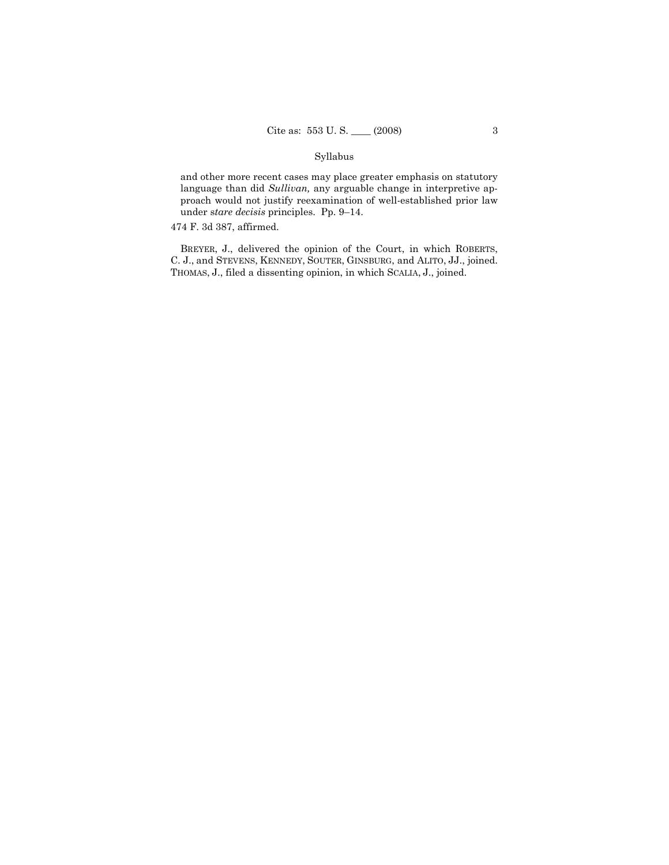### Syllabus

and other more recent cases may place greater emphasis on statutory language than did *Sullivan,* any arguable change in interpretive approach would not justify reexamination of well-established prior law under s*tare decisis* principles. Pp. 9–14.

### 474 F. 3d 387, affirmed.

 C. J., and STEVENS, KENNEDY, SOUTER, GINSBURG, and ALITO, JJ., joined. BREYER, J., delivered the opinion of the Court, in which ROBERTS, THOMAS, J., filed a dissenting opinion, in which SCALIA, J., joined.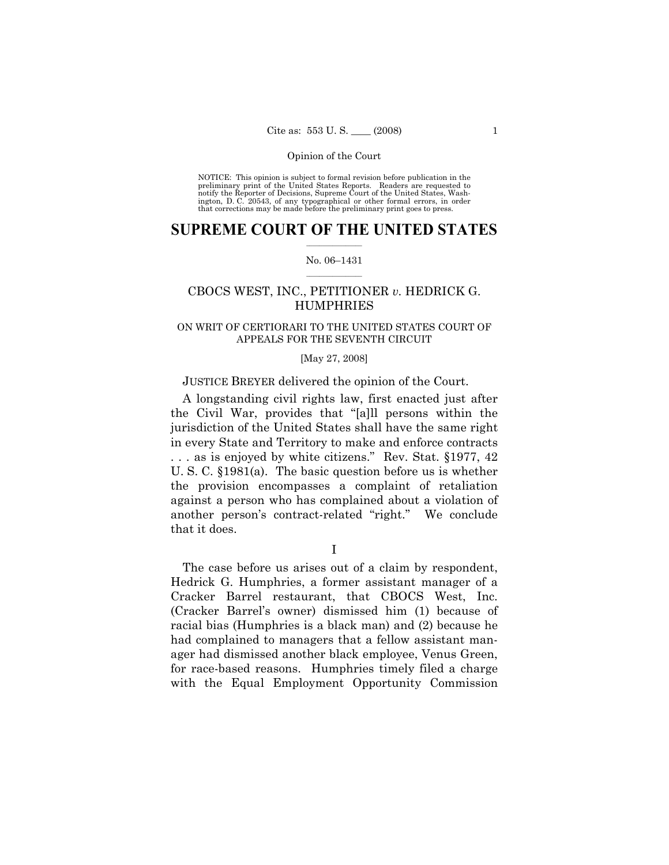preliminary print of the United States Reports. Readers are requested to notify the Reporter of Decisions, Supreme Court of the United States, Wash- ington, D. C. 20543, of any typographical or other formal errors, in order that corrections may be made before the preliminary print goes to press. NOTICE: This opinion is subject to formal revision before publication in the

### $\frac{1}{2}$  , where  $\frac{1}{2}$ **SUPREME COURT OF THE UNITED STATES**

#### $\frac{1}{2}$  ,  $\frac{1}{2}$  ,  $\frac{1}{2}$  ,  $\frac{1}{2}$  ,  $\frac{1}{2}$  ,  $\frac{1}{2}$ No. 06–1431

## CBOCS WEST, INC., PETITIONER *v.* HEDRICK G. **HUMPHRIES**

### ON WRIT OF CERTIORARI TO THE UNITED STATES COURT OF APPEALS FOR THE SEVENTH CIRCUIT

### [May 27, 2008]

### JUSTICE BREYER delivered the opinion of the Court.

A longstanding civil rights law, first enacted just after the Civil War, provides that "[a]ll persons within the jurisdiction of the United States shall have the same right in every State and Territory to make and enforce contracts . . . as is enjoyed by white citizens." Rev. Stat. §1977, 42 U. S. C. §1981(a). The basic question before us is whether the provision encompasses a complaint of retaliation against a person who has complained about a violation of another person's contract-related "right." We conclude that it does.

I

The case before us arises out of a claim by respondent, Hedrick G. Humphries, a former assistant manager of a Cracker Barrel restaurant, that CBOCS West, Inc. (Cracker Barrel's owner) dismissed him (1) because of racial bias (Humphries is a black man) and (2) because he had complained to managers that a fellow assistant manager had dismissed another black employee, Venus Green, for race-based reasons. Humphries timely filed a charge with the Equal Employment Opportunity Commission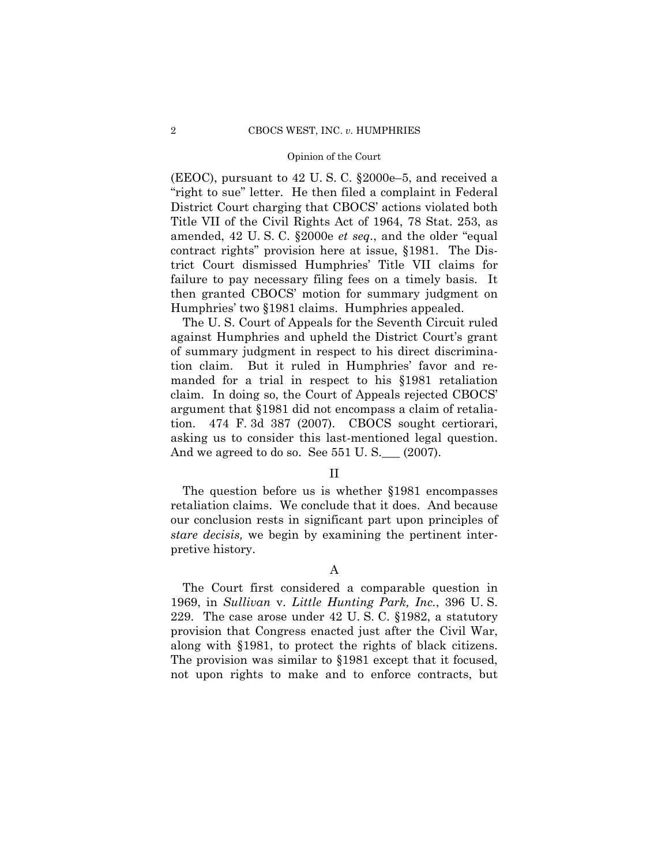(EEOC), pursuant to 42 U. S. C. §2000e–5, and received a "right to sue" letter. He then filed a complaint in Federal District Court charging that CBOCS' actions violated both Title VII of the Civil Rights Act of 1964, 78 Stat. 253, as amended, 42 U. S. C. §2000e *et seq*., and the older "equal contract rights" provision here at issue, §1981. The District Court dismissed Humphries' Title VII claims for failure to pay necessary filing fees on a timely basis. It then granted CBOCS' motion for summary judgment on Humphries' two §1981 claims. Humphries appealed.

The U. S. Court of Appeals for the Seventh Circuit ruled against Humphries and upheld the District Court's grant of summary judgment in respect to his direct discrimination claim. But it ruled in Humphries' favor and remanded for a trial in respect to his §1981 retaliation claim. In doing so, the Court of Appeals rejected CBOCS' argument that §1981 did not encompass a claim of retaliation. 474 F. 3d 387 (2007). CBOCS sought certiorari, asking us to consider this last-mentioned legal question. And we agreed to do so. See  $551$  U. S.  $\qquad$  (2007).

### II

The question before us is whether §1981 encompasses retaliation claims. We conclude that it does. And because our conclusion rests in significant part upon principles of *stare decisis,* we begin by examining the pertinent interpretive history.

A

The Court first considered a comparable question in 1969, in *Sullivan* v. *Little Hunting Park, Inc.*, 396 U. S. 229. The case arose under 42 U. S. C. §1982, a statutory provision that Congress enacted just after the Civil War, along with §1981, to protect the rights of black citizens. The provision was similar to §1981 except that it focused, not upon rights to make and to enforce contracts, but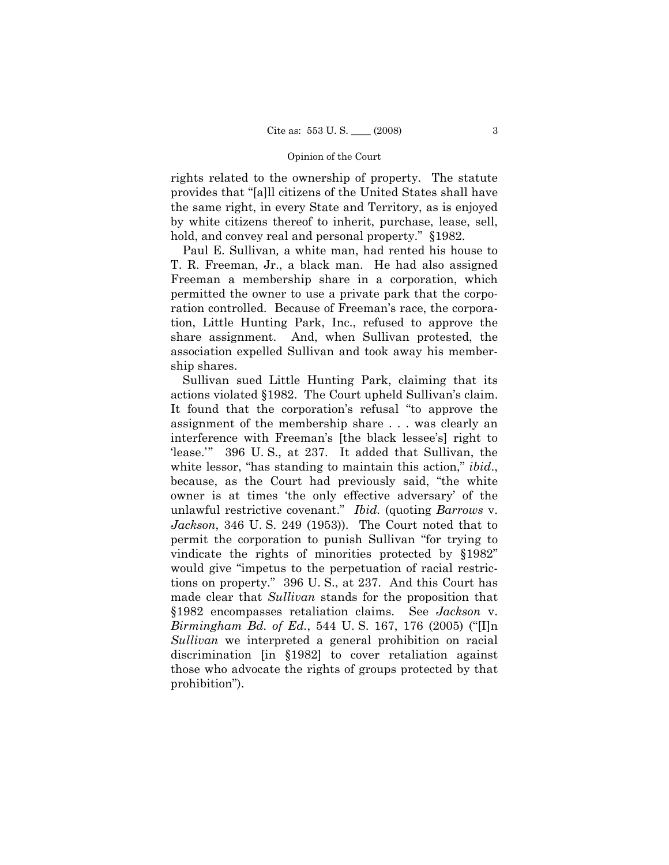rights related to the ownership of property. The statute provides that "[a]ll citizens of the United States shall have the same right, in every State and Territory, as is enjoyed by white citizens thereof to inherit, purchase, lease, sell, hold, and convey real and personal property." §1982.

Paul E. Sullivan*,* a white man, had rented his house to T. R. Freeman, Jr., a black man. He had also assigned Freeman a membership share in a corporation, which permitted the owner to use a private park that the corporation controlled. Because of Freeman's race, the corporation, Little Hunting Park, Inc., refused to approve the share assignment. And, when Sullivan protested, the association expelled Sullivan and took away his membership shares.

Sullivan sued Little Hunting Park, claiming that its actions violated §1982. The Court upheld Sullivan's claim. It found that the corporation's refusal "to approve the assignment of the membership share . . . was clearly an interference with Freeman's [the black lessee's] right to 'lease.'" 396 U. S., at 237. It added that Sullivan, the white lessor, "has standing to maintain this action," *ibid.*, because, as the Court had previously said, "the white owner is at times 'the only effective adversary' of the unlawful restrictive covenant." *Ibid.* (quoting *Barrows* v. *Jackson*, 346 U. S. 249 (1953)). The Court noted that to permit the corporation to punish Sullivan "for trying to vindicate the rights of minorities protected by §1982" would give "impetus to the perpetuation of racial restrictions on property." 396 U. S., at 237. And this Court has made clear that *Sullivan* stands for the proposition that §1982 encompasses retaliation claims. See *Jackson* v. *Birmingham Bd. of Ed.*, 544 U. S. 167, 176 (2005) ("[I]n *Sullivan* we interpreted a general prohibition on racial discrimination [in §1982] to cover retaliation against those who advocate the rights of groups protected by that prohibition").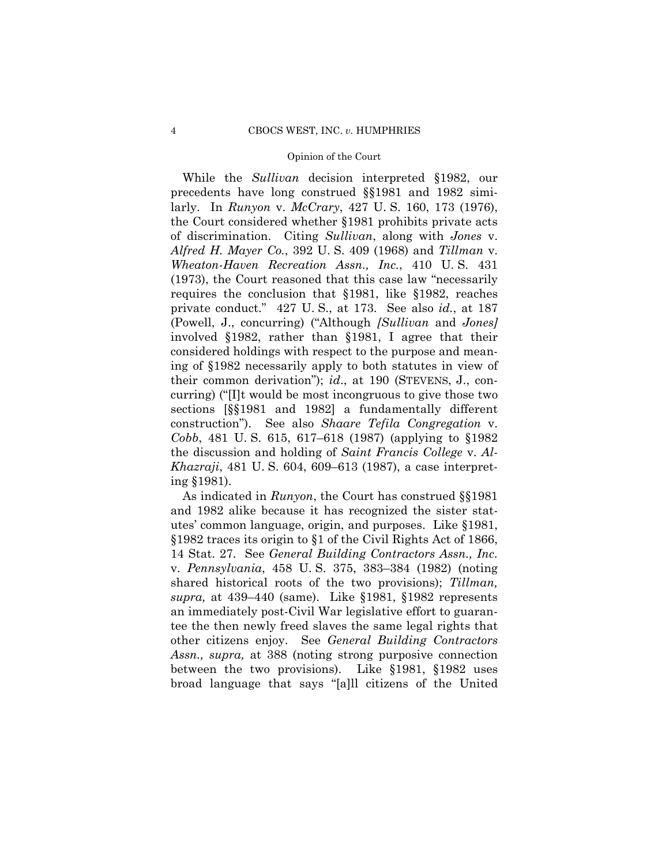While the *Sullivan* decision interpreted §1982, our precedents have long construed §§1981 and 1982 similarly. In *Runyon* v. *McCrary*, 427 U. S. 160, 173 (1976), the Court considered whether §1981 prohibits private acts of discrimination. Citing *Sullivan*, along with *Jones* v. *Alfred H. Mayer Co.*, 392 U. S. 409 (1968) and *Tillman* v. *Wheaton-Haven Recreation Assn., Inc.*, 410 U. S. 431 (1973), the Court reasoned that this case law "necessarily requires the conclusion that §1981, like §1982, reaches private conduct." 427 U. S., at 173. See also *id.*, at 187 (Powell, J., concurring) ("Although *[Sullivan* and *Jones]* involved §1982, rather than §1981, I agree that their considered holdings with respect to the purpose and meaning of §1982 necessarily apply to both statutes in view of their common derivation"); *id*., at 190 (STEVENS, J., concurring) ("[I]t would be most incongruous to give those two sections [§§1981 and 1982] a fundamentally different construction"). See also *Shaare Tefila Congregation* v. *Cobb*, 481 U. S. 615, 617–618 (1987) (applying to §1982 the discussion and holding of *Saint Francis College* v. *Al-Khazraji*, 481 U. S. 604, 609–613 (1987), a case interpreting §1981).

As indicated in *Runyon*, the Court has construed §§1981 and 1982 alike because it has recognized the sister statutes' common language, origin, and purposes. Like §1981, §1982 traces its origin to §1 of the Civil Rights Act of 1866, 14 Stat. 27. See *General Building Contractors Assn., Inc.*  v. *Pennsylvania*, 458 U. S. 375, 383–384 (1982) (noting shared historical roots of the two provisions); *Tillman, supra,* at 439–440 (same). Like §1981, §1982 represents an immediately post-Civil War legislative effort to guarantee the then newly freed slaves the same legal rights that other citizens enjoy. See *General Building Contractors Assn., supra,* at 388 (noting strong purposive connection between the two provisions). Like §1981, §1982 uses broad language that says "[a]ll citizens of the United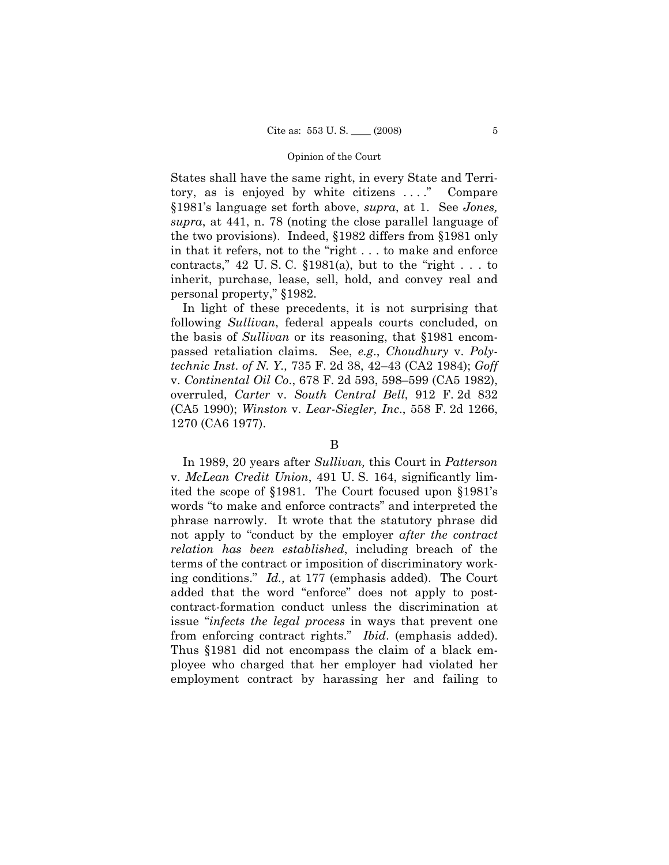States shall have the same right, in every State and Territory, as is enjoyed by white citizens . . . ." Compare §1981's language set forth above, *supra*, at 1. See *Jones, supra*, at 441, n. 78 (noting the close parallel language of the two provisions). Indeed, §1982 differs from §1981 only in that it refers, not to the "right . . . to make and enforce contracts,"  $42 \text{ U.S. C. }$  \$1981(a), but to the "right . . . to inherit, purchase, lease, sell, hold, and convey real and personal property," §1982.

In light of these precedents, it is not surprising that following *Sullivan*, federal appeals courts concluded, on the basis of *Sullivan* or its reasoning, that §1981 encompassed retaliation claims. See, *e.g*., *Choudhury* v. *Polytechnic Inst*. *of N. Y.,* 735 F. 2d 38, 42–43 (CA2 1984); *Goff*  v. *Continental Oil Co*., 678 F. 2d 593, 598–599 (CA5 1982), overruled, *Carter* v. *South Central Bell*, 912 F. 2d 832 (CA5 1990); *Winston* v. *Lear-Siegler, Inc*., 558 F. 2d 1266, 1270 (CA6 1977).

# B

In 1989, 20 years after *Sullivan,* this Court in *Patterson*  v. *McLean Credit Union*, 491 U. S. 164, significantly limited the scope of §1981. The Court focused upon §1981's words "to make and enforce contracts" and interpreted the phrase narrowly. It wrote that the statutory phrase did not apply to "conduct by the employer *after the contract relation has been established*, including breach of the terms of the contract or imposition of discriminatory working conditions." *Id.,* at 177 (emphasis added). The Court added that the word "enforce" does not apply to postcontract-formation conduct unless the discrimination at issue "*infects the legal process* in ways that prevent one from enforcing contract rights." *Ibid*. (emphasis added). Thus §1981 did not encompass the claim of a black employee who charged that her employer had violated her employment contract by harassing her and failing to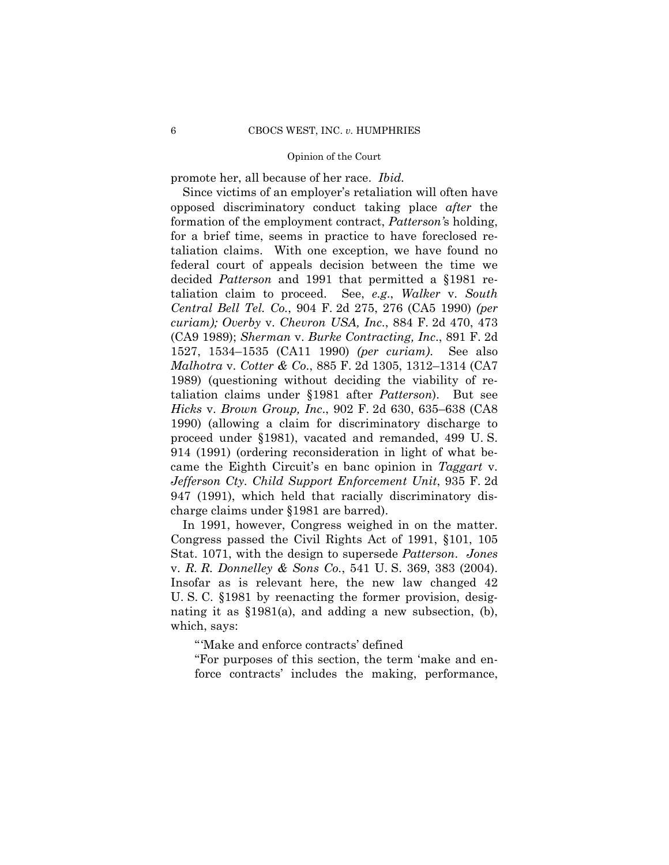promote her, all because of her race. *Ibid.* 

Since victims of an employer's retaliation will often have opposed discriminatory conduct taking place *after* the formation of the employment contract, *Patterson'*s holding, for a brief time, seems in practice to have foreclosed retaliation claims. With one exception, we have found no federal court of appeals decision between the time we decided *Patterson* and 1991 that permitted a §1981 retaliation claim to proceed. See, *e.g*., *Walker* v. *South Central Bell Tel. Co.*, 904 F. 2d 275, 276 (CA5 1990) *(per curiam); Overby* v. *Chevron USA, Inc*., 884 F. 2d 470, 473 (CA9 1989); *Sherman* v. *Burke Contracting, Inc*., 891 F. 2d 1527, 1534–1535 (CA11 1990) *(per curiam)*. See also *Malhotra* v. *Cotter & Co*., 885 F. 2d 1305, 1312–1314 (CA7 1989) (questioning without deciding the viability of retaliation claims under §1981 after *Patterson*). But see *Hicks* v. *Brown Group, Inc*., 902 F. 2d 630, 635–638 (CA8 1990) (allowing a claim for discriminatory discharge to proceed under §1981), vacated and remanded, 499 U. S. 914 (1991) (ordering reconsideration in light of what became the Eighth Circuit's en banc opinion in *Taggart* v. *Jefferson Cty. Child Support Enforcement Unit*, 935 F. 2d 947 (1991), which held that racially discriminatory discharge claims under §1981 are barred).

 In 1991, however, Congress weighed in on the matter. Congress passed the Civil Rights Act of 1991, §101, 105 Stat. 1071, with the design to supersede *Patterson*. *Jones*  v. *R. R. Donnelley & Sons Co.*, 541 U. S. 369, 383 (2004). Insofar as is relevant here, the new law changed 42 U. S. C. §1981 by reenacting the former provision, designating it as §1981(a), and adding a new subsection, (b), which, says:

"'Make and enforce contracts' defined

"For purposes of this section, the term 'make and enforce contracts' includes the making, performance,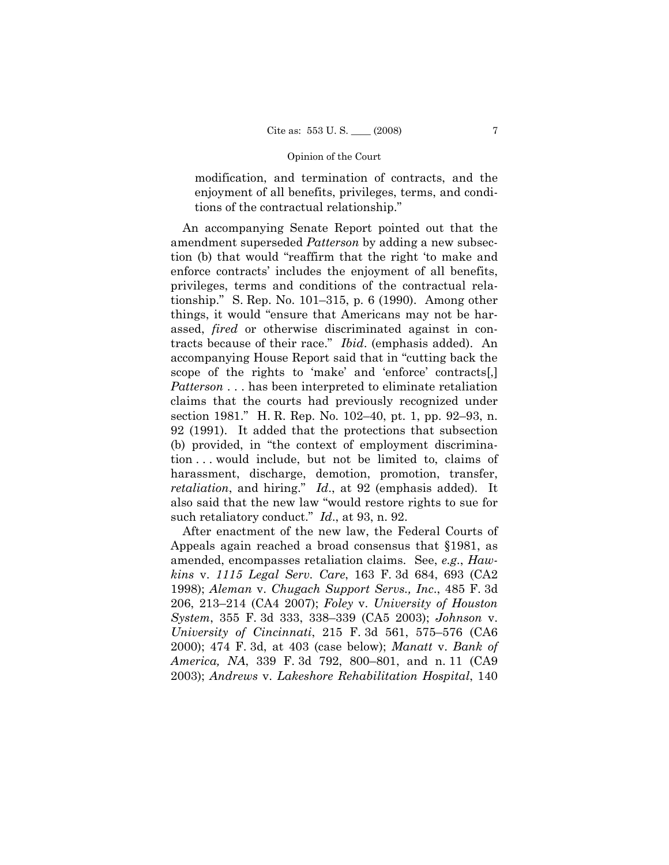modification, and termination of contracts, and the enjoyment of all benefits, privileges, terms, and conditions of the contractual relationship."

An accompanying Senate Report pointed out that the amendment superseded *Patterson* by adding a new subsection (b) that would "reaffirm that the right 'to make and enforce contracts' includes the enjoyment of all benefits, privileges, terms and conditions of the contractual relationship." S. Rep. No. 101–315, p. 6 (1990). Among other things, it would "ensure that Americans may not be harassed, *fired* or otherwise discriminated against in contracts because of their race." *Ibid*. (emphasis added). An accompanying House Report said that in "cutting back the scope of the rights to 'make' and 'enforce' contracts[,] *Patterson* . . . has been interpreted to eliminate retaliation claims that the courts had previously recognized under section 1981." H. R. Rep. No. 102–40, pt. 1, pp. 92–93, n. 92 (1991). It added that the protections that subsection (b) provided, in "the context of employment discrimination . . . would include, but not be limited to, claims of harassment, discharge, demotion, promotion, transfer, *retaliation*, and hiring." *Id*., at 92 (emphasis added). It also said that the new law "would restore rights to sue for such retaliatory conduct." *Id*., at 93, n. 92.

After enactment of the new law, the Federal Courts of Appeals again reached a broad consensus that §1981, as amended, encompasses retaliation claims. See, *e.g*., *Hawkins* v. *1115 Legal Serv. Care*, 163 F. 3d 684, 693 (CA2 1998); *Aleman* v. *Chugach Support Servs., Inc*., 485 F. 3d 206, 213–214 (CA4 2007); *Foley* v. *University of Houston System*, 355 F. 3d 333, 338–339 (CA5 2003); *Johnson* v. *University of Cincinnati*, 215 F. 3d 561, 575–576 (CA6 2000); 474 F. 3d, at 403 (case below); *Manatt* v. *Bank of America, NA*, 339 F. 3d 792, 800–801, and n. 11 (CA9 2003); *Andrews* v. *Lakeshore Rehabilitation Hospital*, 140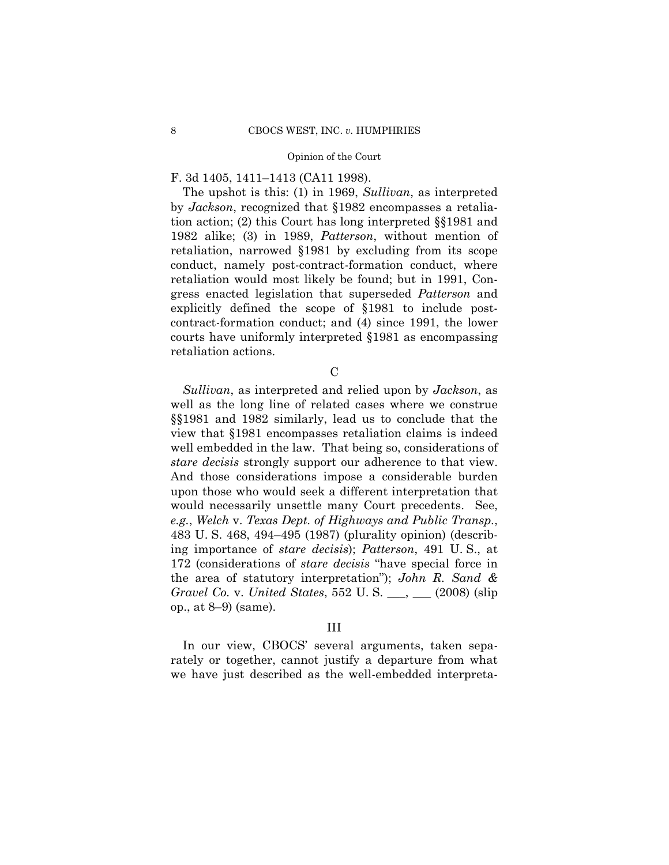### F. 3d 1405, 1411–1413 (CA11 1998).

The upshot is this: (1) in 1969, *Sullivan*, as interpreted by *Jackson*, recognized that §1982 encompasses a retaliation action; (2) this Court has long interpreted §§1981 and 1982 alike; (3) in 1989, *Patterson*, without mention of retaliation, narrowed §1981 by excluding from its scope conduct, namely post-contract-formation conduct, where retaliation would most likely be found; but in 1991, Congress enacted legislation that superseded *Patterson* and explicitly defined the scope of §1981 to include postcontract-formation conduct; and (4) since 1991, the lower courts have uniformly interpreted §1981 as encompassing retaliation actions.

C

 *stare decisis* strongly support our adherence to that view. *Sullivan*, as interpreted and relied upon by *Jackson*, as well as the long line of related cases where we construe §§1981 and 1982 similarly, lead us to conclude that the view that §1981 encompasses retaliation claims is indeed well embedded in the law. That being so, considerations of And those considerations impose a considerable burden upon those who would seek a different interpretation that would necessarily unsettle many Court precedents. See, *e.g.*, *Welch* v. *Texas Dept. of Highways and Public Transp.*, 483 U. S. 468, 494–495 (1987) (plurality opinion) (describing importance of *stare decisis*); *Patterson*, 491 U. S., at 172 (considerations of *stare decisis* "have special force in the area of statutory interpretation"); *John R. Sand & Gravel Co.* v. *United States*, 552 U. S. \_\_\_, \_\_\_ (2008) (slip op., at 8–9) (same).

### III

In our view, CBOCS' several arguments, taken separately or together, cannot justify a departure from what we have just described as the well-embedded interpreta-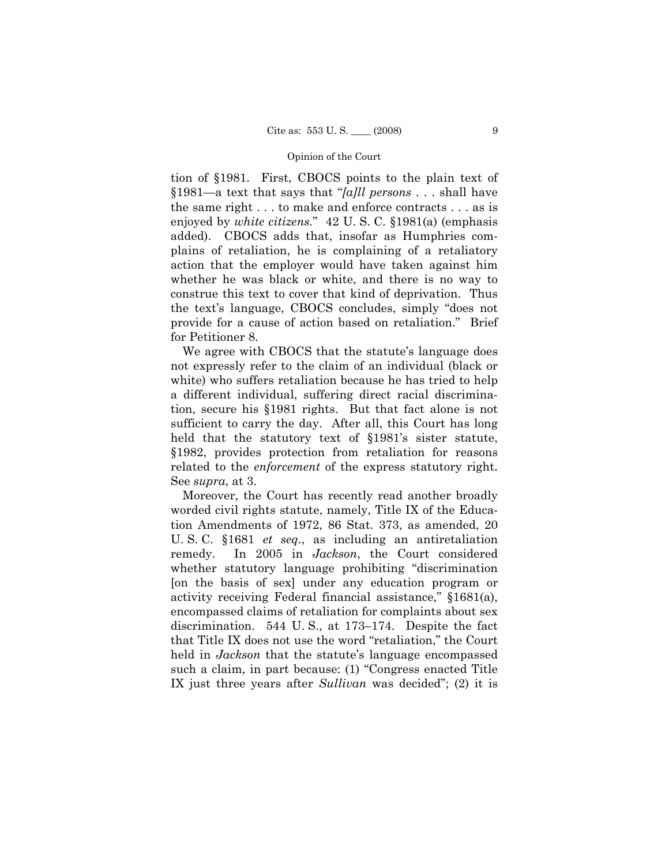tion of §1981. First, CBOCS points to the plain text of §1981—a text that says that "*[a]ll persons* . . . shall have the same right . . . to make and enforce contracts . . . as is enjoyed by *white citizens.*" 42 U. S. C. §1981(a) (emphasis added). CBOCS adds that, insofar as Humphries complains of retaliation, he is complaining of a retaliatory action that the employer would have taken against him whether he was black or white, and there is no way to construe this text to cover that kind of deprivation. Thus the text's language, CBOCS concludes, simply "does not provide for a cause of action based on retaliation." Brief for Petitioner 8.

We agree with CBOCS that the statute's language does not expressly refer to the claim of an individual (black or white) who suffers retaliation because he has tried to help a different individual, suffering direct racial discrimination, secure his §1981 rights. But that fact alone is not sufficient to carry the day. After all, this Court has long held that the statutory text of §1981's sister statute, §1982, provides protection from retaliation for reasons related to the *enforcement* of the express statutory right. See *supra*, at 3.

Moreover, the Court has recently read another broadly worded civil rights statute, namely, Title IX of the Education Amendments of 1972, 86 Stat. 373, as amended, 20 U. S. C. §1681 *et seq*., as including an antiretaliation remedy. In 2005 in *Jackson*, the Court considered whether statutory language prohibiting "discrimination [on the basis of sex] under any education program or activity receiving Federal financial assistance," §1681(a), encompassed claims of retaliation for complaints about sex discrimination. 544 U. S., at 173–174. Despite the fact that Title IX does not use the word "retaliation," the Court held in *Jackson* that the statute's language encompassed such a claim, in part because: (1) "Congress enacted Title IX just three years after *Sullivan* was decided"; (2) it is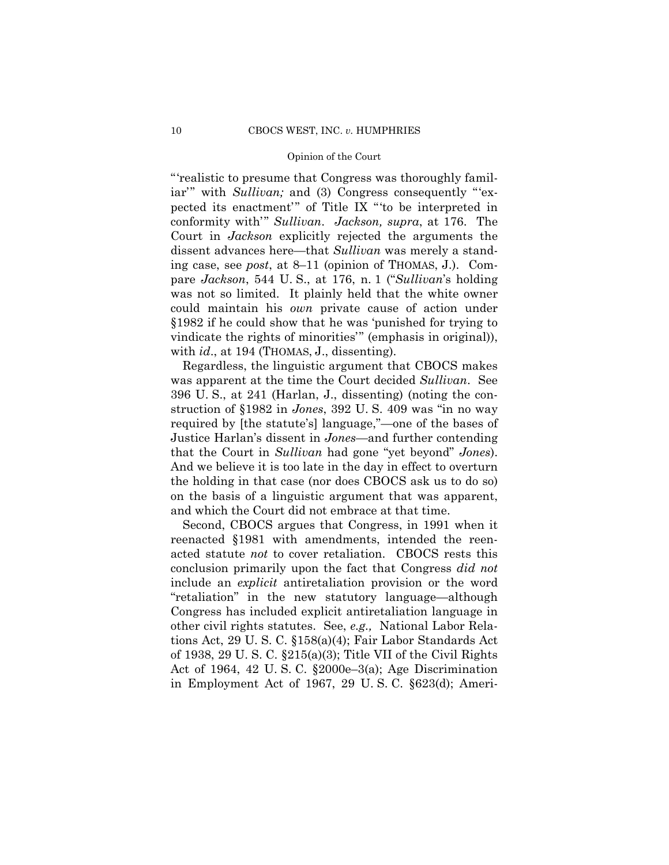"'realistic to presume that Congress was thoroughly familiar'" with *Sullivan*; and (3) Congress consequently "'expected its enactment'" of Title IX "'to be interpreted in conformity with'" *Sullivan*. *Jackson, supra*, at 176. The Court in *Jackson* explicitly rejected the arguments the dissent advances here—that *Sullivan* was merely a standing case, see *post*, at 8–11 (opinion of THOMAS, J.). Compare *Jackson*, 544 U. S., at 176, n. 1 ("*Sullivan*'s holding was not so limited. It plainly held that the white owner could maintain his *own* private cause of action under §1982 if he could show that he was 'punished for trying to vindicate the rights of minorities'" (emphasis in original)), with *id.*, at 194 (THOMAS, J., dissenting).

Regardless, the linguistic argument that CBOCS makes was apparent at the time the Court decided *Sullivan*. See 396 U. S., at 241 (Harlan, J., dissenting) (noting the construction of §1982 in *Jones*, 392 U. S. 409 was "in no way required by [the statute's] language,"—one of the bases of Justice Harlan's dissent in *Jones*—and further contending that the Court in *Sullivan* had gone "yet beyond" *Jones*). And we believe it is too late in the day in effect to overturn the holding in that case (nor does CBOCS ask us to do so) on the basis of a linguistic argument that was apparent, and which the Court did not embrace at that time.

Second, CBOCS argues that Congress, in 1991 when it reenacted §1981 with amendments, intended the reenacted statute *not* to cover retaliation. CBOCS rests this conclusion primarily upon the fact that Congress *did not*  include an *explicit* antiretaliation provision or the word "retaliation" in the new statutory language—although Congress has included explicit antiretaliation language in other civil rights statutes. See, *e.g.,* National Labor Relations Act, 29 U. S. C. §158(a)(4); Fair Labor Standards Act of 1938, 29 U. S. C. §215(a)(3); Title VII of the Civil Rights Act of 1964, 42 U. S. C. §2000e–3(a); Age Discrimination in Employment Act of 1967, 29 U. S. C. §623(d); Ameri-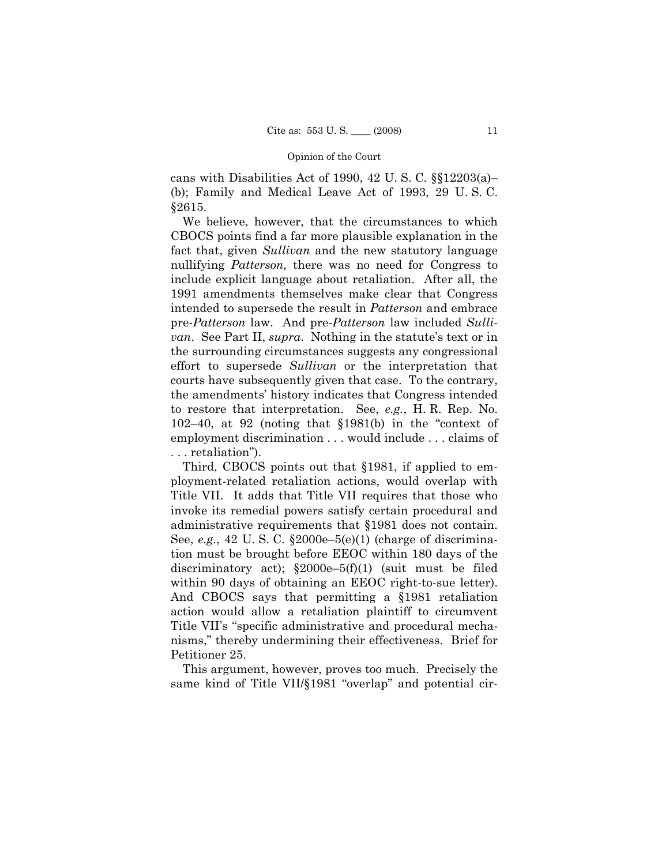cans with Disabilities Act of 1990, 42 U. S. C. §§12203(a)– (b); Family and Medical Leave Act of 1993, 29 U. S. C. §2615.

We believe, however, that the circumstances to which CBOCS points find a far more plausible explanation in the fact that, given *Sullivan* and the new statutory language nullifying *Patterson,* there was no need for Congress to include explicit language about retaliation. After all, the 1991 amendments themselves make clear that Congress intended to supersede the result in *Patterson* and embrace pre-*Patterson* law. And pre-*Patterson* law included *Sullivan*. See Part II, *supra*. Nothing in the statute's text or in the surrounding circumstances suggests any congressional effort to supersede *Sullivan* or the interpretation that courts have subsequently given that case. To the contrary, the amendments' history indicates that Congress intended to restore that interpretation. See, *e.g.*, H. R. Rep. No. 102–40, at 92 (noting that §1981(b) in the "context of employment discrimination . . . would include . . . claims of . . . retaliation").

Third, CBOCS points out that §1981, if applied to employment-related retaliation actions, would overlap with Title VII. It adds that Title VII requires that those who invoke its remedial powers satisfy certain procedural and administrative requirements that §1981 does not contain. See, *e.g.*, 42 U. S. C. §2000e–5(e)(1) (charge of discrimination must be brought before EEOC within 180 days of the discriminatory act);  $$2000e-5(f)(1)$  (suit must be filed within 90 days of obtaining an EEOC right-to-sue letter). And CBOCS says that permitting a §1981 retaliation action would allow a retaliation plaintiff to circumvent Title VII's "specific administrative and procedural mechanisms," thereby undermining their effectiveness. Brief for Petitioner 25.

This argument, however, proves too much. Precisely the same kind of Title VII/§1981 "overlap" and potential cir-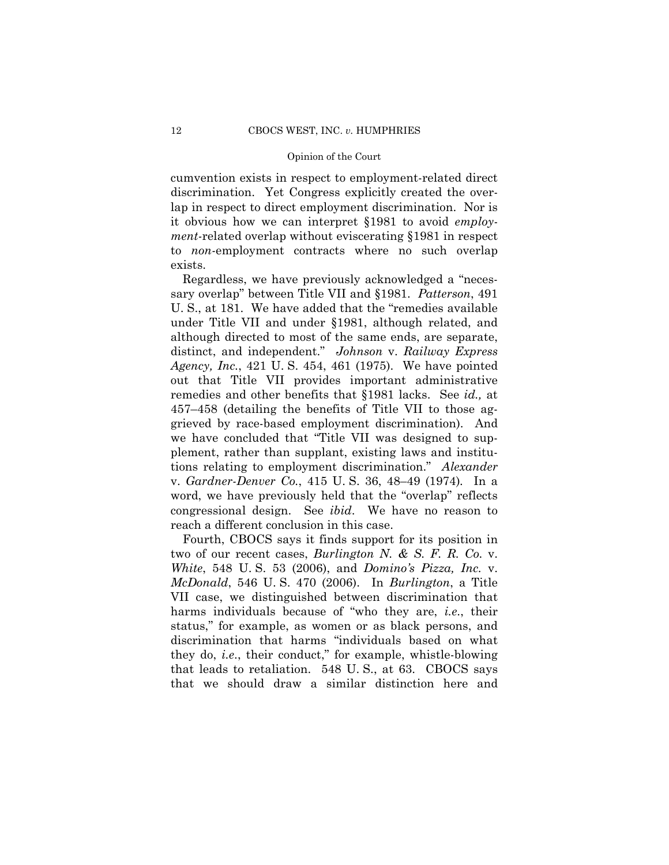cumvention exists in respect to employment-related direct discrimination. Yet Congress explicitly created the overlap in respect to direct employment discrimination. Nor is it obvious how we can interpret §1981 to avoid *employment-*related overlap without eviscerating §1981 in respect to *non-*employment contracts where no such overlap exists.

 v. *Gardner-Denver Co.*, 415 U. S. 36, 48–49 (1974)*.* In a Regardless, we have previously acknowledged a "necessary overlap" between Title VII and §1981. *Patterson*, 491 U. S., at 181. We have added that the "remedies available under Title VII and under §1981, although related, and although directed to most of the same ends, are separate, distinct, and independent." *Johnson* v. *Railway Express Agency, Inc.*, 421 U. S. 454, 461 (1975). We have pointed out that Title VII provides important administrative remedies and other benefits that §1981 lacks. See *id.,* at 457–458 (detailing the benefits of Title VII to those aggrieved by race-based employment discrimination). And we have concluded that "Title VII was designed to supplement, rather than supplant, existing laws and institutions relating to employment discrimination." *Alexander*  word, we have previously held that the "overlap" reflects congressional design. See *ibid*. We have no reason to reach a different conclusion in this case.

Fourth, CBOCS says it finds support for its position in two of our recent cases, *Burlington N. & S. F. R. Co.* v. *White*, 548 U. S. 53 (2006), and *Domino's Pizza, Inc.* v. *McDonald*, 546 U. S. 470 (2006). In *Burlington*, a Title VII case, we distinguished between discrimination that harms individuals because of "who they are, *i.e*., their status," for example, as women or as black persons, and discrimination that harms "individuals based on what they do, *i.e*., their conduct," for example, whistle-blowing that leads to retaliation. 548 U. S., at 63. CBOCS says that we should draw a similar distinction here and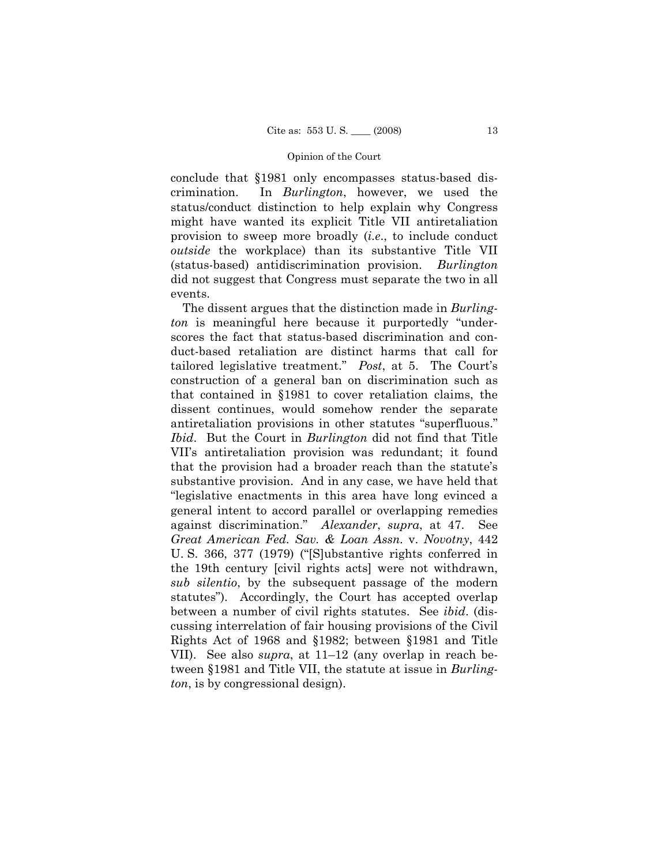conclude that §1981 only encompasses status-based discrimination. In *Burlington*, however, we used the status/conduct distinction to help explain why Congress might have wanted its explicit Title VII antiretaliation provision to sweep more broadly (*i.e*., to include conduct *outside* the workplace) than its substantive Title VII (status-based) antidiscrimination provision. *Burlington* did not suggest that Congress must separate the two in all events.

 against discrimination." *Alexander*, *supra*, at 47. See The dissent argues that the distinction made in *Burlington* is meaningful here because it purportedly "underscores the fact that status-based discrimination and conduct-based retaliation are distinct harms that call for tailored legislative treatment." *Post*, at 5. The Court's construction of a general ban on discrimination such as that contained in §1981 to cover retaliation claims, the dissent continues, would somehow render the separate antiretaliation provisions in other statutes "superfluous." *Ibid*. But the Court in *Burlington* did not find that Title VII's antiretaliation provision was redundant; it found that the provision had a broader reach than the statute's substantive provision. And in any case, we have held that "legislative enactments in this area have long evinced a general intent to accord parallel or overlapping remedies *Great American Fed. Sav. & Loan Assn.* v. *Novotny*, 442 U. S. 366, 377 (1979) ("[S]ubstantive rights conferred in the 19th century [civil rights acts] were not withdrawn, *sub silentio*, by the subsequent passage of the modern statutes"). Accordingly, the Court has accepted overlap between a number of civil rights statutes. See *ibid*. (discussing interrelation of fair housing provisions of the Civil Rights Act of 1968 and §1982; between §1981 and Title VII). See also *supra*, at 11–12 (any overlap in reach between §1981 and Title VII, the statute at issue in *Burlington*, is by congressional design).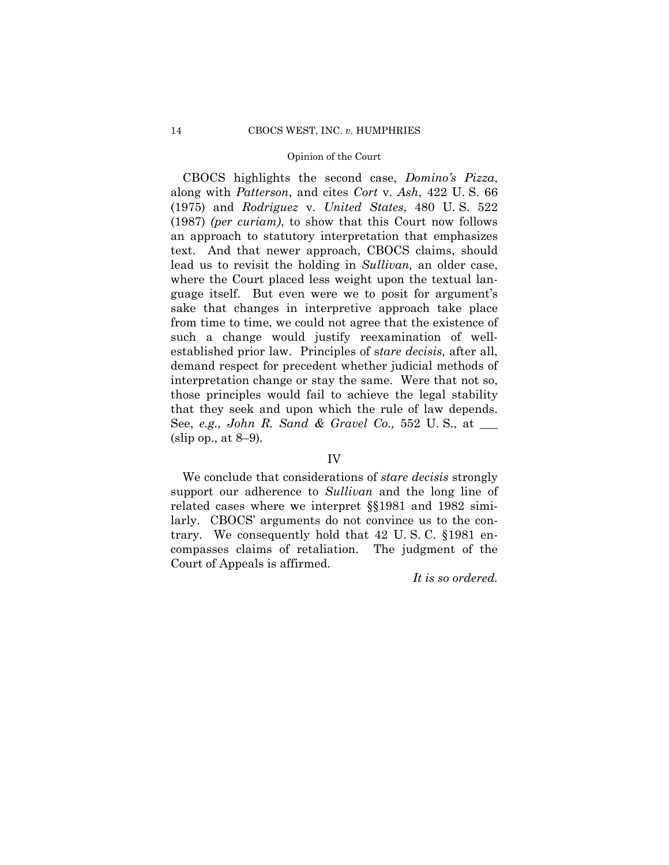that they seek and upon which the rule of law depends. CBOCS highlights the second case, *Domino's Pizza*, along with *Patterson*, and cites *Cort* v. *Ash*, 422 U. S. 66 (1975) and *Rodriguez* v. *United States*, 480 U. S. 522 (1987) *(per curiam)*, to show that this Court now follows an approach to statutory interpretation that emphasizes text. And that newer approach, CBOCS claims, should lead us to revisit the holding in *Sullivan,* an older case, where the Court placed less weight upon the textual language itself. But even were we to posit for argument's sake that changes in interpretive approach take place from time to time, we could not agree that the existence of such a change would justify reexamination of wellestablished prior law. Principles of s*tare decisis,* after all, demand respect for precedent whether judicial methods of interpretation change or stay the same. Were that not so, those principles would fail to achieve the legal stability See, *e.g., John R. Sand & Gravel Co.,* 552 U. S., at \_\_\_ (slip op., at 8–9)*.* 

### IV

We conclude that considerations of *stare decisis* strongly support our adherence to *Sullivan* and the long line of related cases where we interpret §§1981 and 1982 similarly. CBOCS' arguments do not convince us to the contrary. We consequently hold that 42 U. S. C. §1981 encompasses claims of retaliation. The judgment of the Court of Appeals is affirmed.

*It is so ordered.*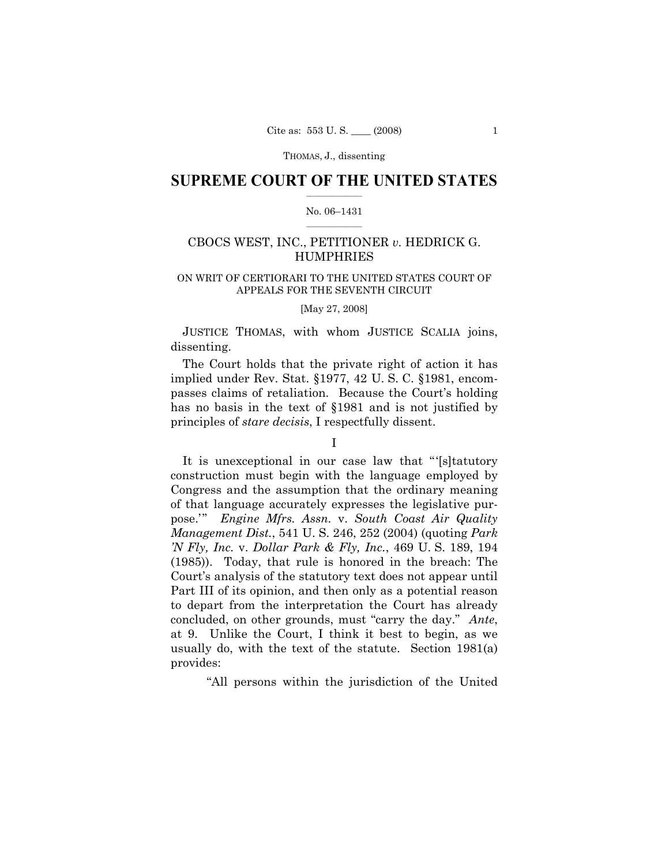### $\frac{1}{2}$  ,  $\frac{1}{2}$  ,  $\frac{1}{2}$  ,  $\frac{1}{2}$  ,  $\frac{1}{2}$  ,  $\frac{1}{2}$  ,  $\frac{1}{2}$ **SUPREME COURT OF THE UNITED STATES**

### $\frac{1}{2}$  ,  $\frac{1}{2}$  ,  $\frac{1}{2}$  ,  $\frac{1}{2}$  ,  $\frac{1}{2}$  ,  $\frac{1}{2}$ No. 06–1431

# CBOCS WEST, INC., PETITIONER *v.* HEDRICK G. HUMPHRIES

### ON WRIT OF CERTIORARI TO THE UNITED STATES COURT OF APPEALS FOR THE SEVENTH CIRCUIT

[May 27, 2008]

JUSTICE THOMAS, with whom JUSTICE SCALIA joins, dissenting.

The Court holds that the private right of action it has implied under Rev. Stat. §1977, 42 U. S. C. §1981, encompasses claims of retaliation. Because the Court's holding has no basis in the text of §1981 and is not justified by principles of *stare decisis*, I respectfully dissent.

# I

It is unexceptional in our case law that "'[s]tatutory construction must begin with the language employed by Congress and the assumption that the ordinary meaning of that language accurately expresses the legislative purpose.'" *Engine Mfrs. Assn.* v. *South Coast Air Quality Management Dist.*, 541 U. S. 246, 252 (2004) (quoting *Park 'N Fly, Inc.* v. *Dollar Park & Fly, Inc.*, 469 U. S. 189, 194 (1985)). Today, that rule is honored in the breach: The Court's analysis of the statutory text does not appear until Part III of its opinion, and then only as a potential reason to depart from the interpretation the Court has already concluded, on other grounds, must "carry the day." *Ante*, at 9. Unlike the Court, I think it best to begin, as we usually do, with the text of the statute. Section 1981(a) provides:

"All persons within the jurisdiction of the United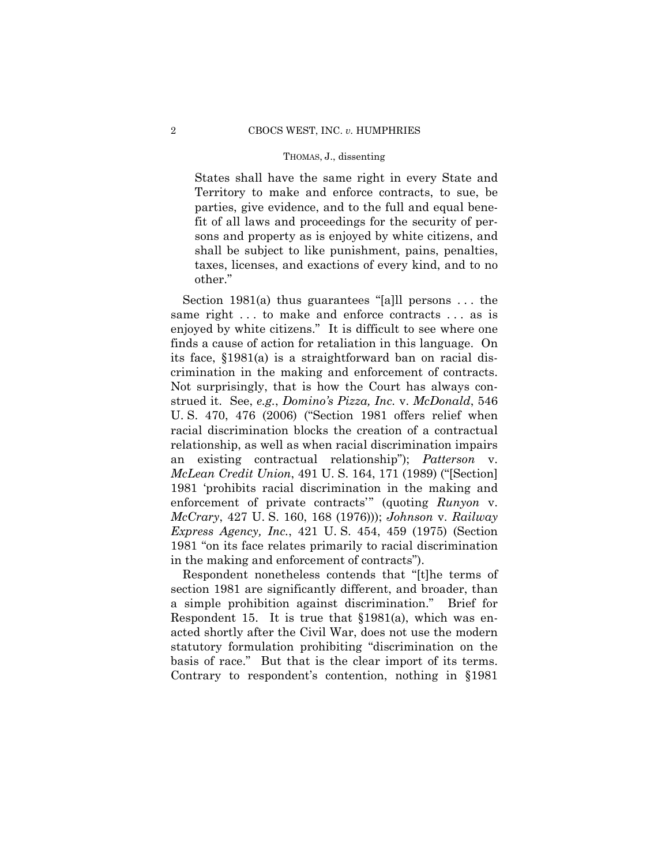States shall have the same right in every State and Territory to make and enforce contracts, to sue, be parties, give evidence, and to the full and equal benefit of all laws and proceedings for the security of persons and property as is enjoyed by white citizens, and shall be subject to like punishment, pains, penalties, taxes, licenses, and exactions of every kind, and to no other."

 crimination in the making and enforcement of contracts. Section 1981(a) thus guarantees "[a]ll persons . . . the same right ... to make and enforce contracts ... as is enjoyed by white citizens." It is difficult to see where one finds a cause of action for retaliation in this language. On its face, §1981(a) is a straightforward ban on racial dis-Not surprisingly, that is how the Court has always construed it. See, *e.g.*, *Domino's Pizza, Inc.* v. *McDonald*, 546 U. S. 470, 476 (2006) ("Section 1981 offers relief when racial discrimination blocks the creation of a contractual relationship, as well as when racial discrimination impairs an existing contractual relationship"); *Patterson* v. *McLean Credit Union*, 491 U. S. 164, 171 (1989) ("[Section] 1981 'prohibits racial discrimination in the making and enforcement of private contracts'" (quoting *Runyon* v. *McCrary*, 427 U. S. 160, 168 (1976))); *Johnson* v. *Railway Express Agency, Inc.*, 421 U. S. 454, 459 (1975) (Section 1981 "on its face relates primarily to racial discrimination in the making and enforcement of contracts").

Respondent nonetheless contends that "[t]he terms of section 1981 are significantly different, and broader, than a simple prohibition against discrimination." Brief for Respondent 15. It is true that §1981(a), which was enacted shortly after the Civil War, does not use the modern statutory formulation prohibiting "discrimination on the basis of race." But that is the clear import of its terms. Contrary to respondent's contention, nothing in §1981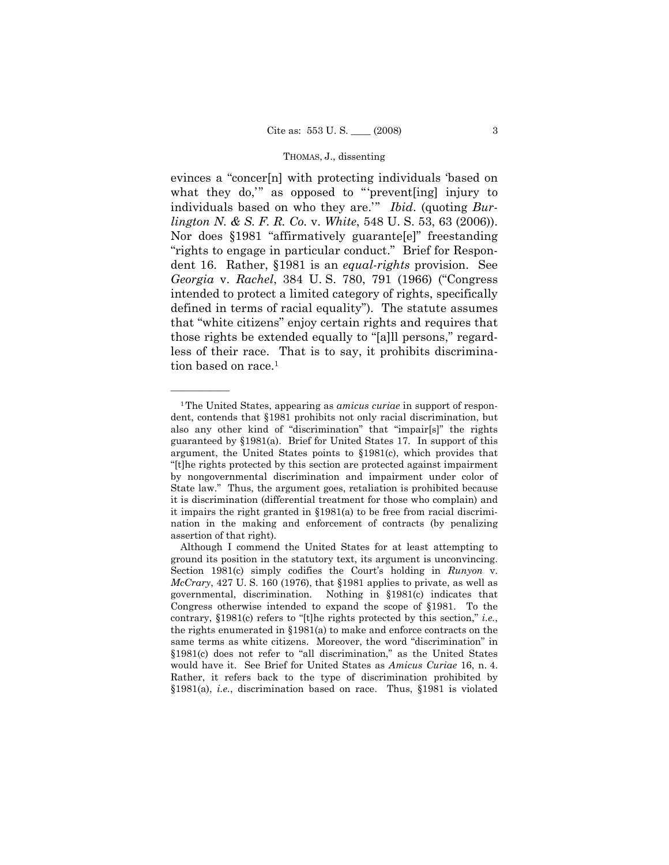evinces a "concer[n] with protecting individuals 'based on what they do," as opposed to "'prevent[ing] injury to individuals based on who they are.'" *Ibid*. (quoting *Burlington N. & S. F. R. Co.* v. *White*, 548 U. S. 53, 63 (2006)). Nor does §1981 "affirmatively guarante[e]" freestanding "rights to engage in particular conduct." Brief for Respondent 16. Rather, §1981 is an *equal-rights* provision. See *Georgia* v. *Rachel*, 384 U. S. 780, 791 (1966) ("Congress intended to protect a limited category of rights, specifically defined in terms of racial equality"). The statute assumes that "white citizens" enjoy certain rights and requires that those rights be extended equally to "[a]ll persons," regardless of their race. That is to say, it prohibits discrimination based on race.<sup>1</sup>

<sup>1</sup>The United States, appearing as *amicus curiae* in support of respondent, contends that §1981 prohibits not only racial discrimination, but also any other kind of "discrimination" that "impair[s]" the rights guaranteed by §1981(a). Brief for United States 17. In support of this argument, the United States points to §1981(c), which provides that "[t]he rights protected by this section are protected against impairment by nongovernmental discrimination and impairment under color of State law." Thus, the argument goes, retaliation is prohibited because it is discrimination (differential treatment for those who complain) and it impairs the right granted in §1981(a) to be free from racial discrimination in the making and enforcement of contracts (by penalizing assertion of that right).

Although I commend the United States for at least attempting to ground its position in the statutory text, its argument is unconvincing. Section 1981(c) simply codifies the Court's holding in *Runyon* v. *McCrary*, 427 U. S. 160 (1976), that §1981 applies to private, as well as governmental, discrimination. Nothing in §1981(c) indicates that Congress otherwise intended to expand the scope of §1981. To the contrary, §1981(c) refers to "[t]he rights protected by this section," *i.e.*, the rights enumerated in §1981(a) to make and enforce contracts on the same terms as white citizens. Moreover, the word "discrimination" in §1981(c) does not refer to "all discrimination," as the United States would have it. See Brief for United States as *Amicus Curiae* 16, n. 4. Rather, it refers back to the type of discrimination prohibited by §1981(a), *i.e.*, discrimination based on race. Thus, §1981 is violated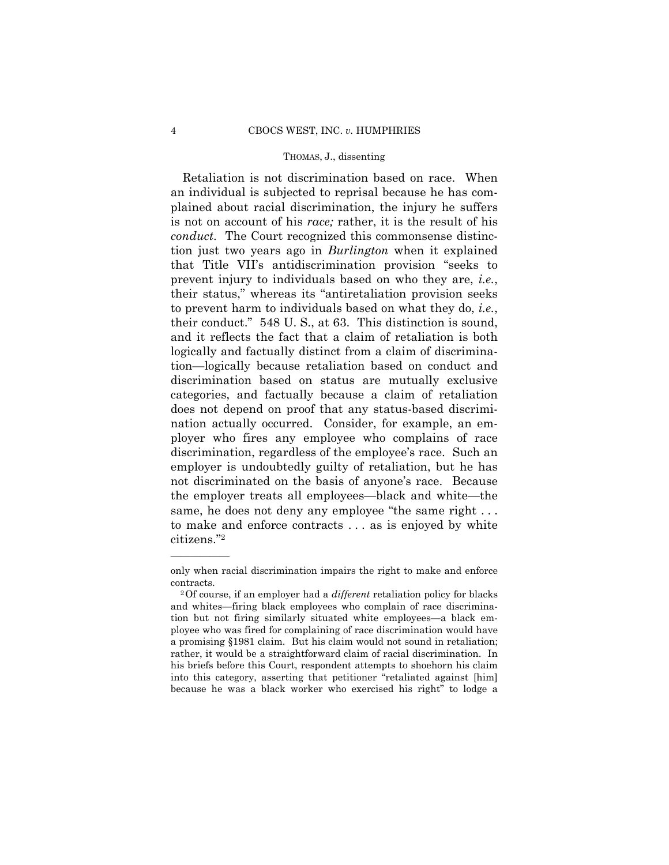citizens."2 Retaliation is not discrimination based on race. When an individual is subjected to reprisal because he has complained about racial discrimination, the injury he suffers is not on account of his *race;* rather, it is the result of his *conduct*. The Court recognized this commonsense distinction just two years ago in *Burlington* when it explained that Title VII's antidiscrimination provision "seeks to prevent injury to individuals based on who they are, *i.e.*, their status," whereas its "antiretaliation provision seeks to prevent harm to individuals based on what they do, *i.e.*, their conduct." 548 U. S., at 63. This distinction is sound, and it reflects the fact that a claim of retaliation is both logically and factually distinct from a claim of discrimination—logically because retaliation based on conduct and discrimination based on status are mutually exclusive categories, and factually because a claim of retaliation does not depend on proof that any status-based discrimination actually occurred. Consider, for example, an employer who fires any employee who complains of race discrimination, regardless of the employee's race. Such an employer is undoubtedly guilty of retaliation, but he has not discriminated on the basis of anyone's race. Because the employer treats all employees—black and white—the same, he does not deny any employee "the same right ... to make and enforce contracts . . . as is enjoyed by white

only when racial discrimination impairs the right to make and enforce contracts. 2Of course, if an employer had a *different* retaliation policy for blacks

and whites—firing black employees who complain of race discrimination but not firing similarly situated white employees—a black employee who was fired for complaining of race discrimination would have a promising §1981 claim. But his claim would not sound in retaliation; rather, it would be a straightforward claim of racial discrimination. In his briefs before this Court, respondent attempts to shoehorn his claim into this category, asserting that petitioner "retaliated against [him] because he was a black worker who exercised his right" to lodge a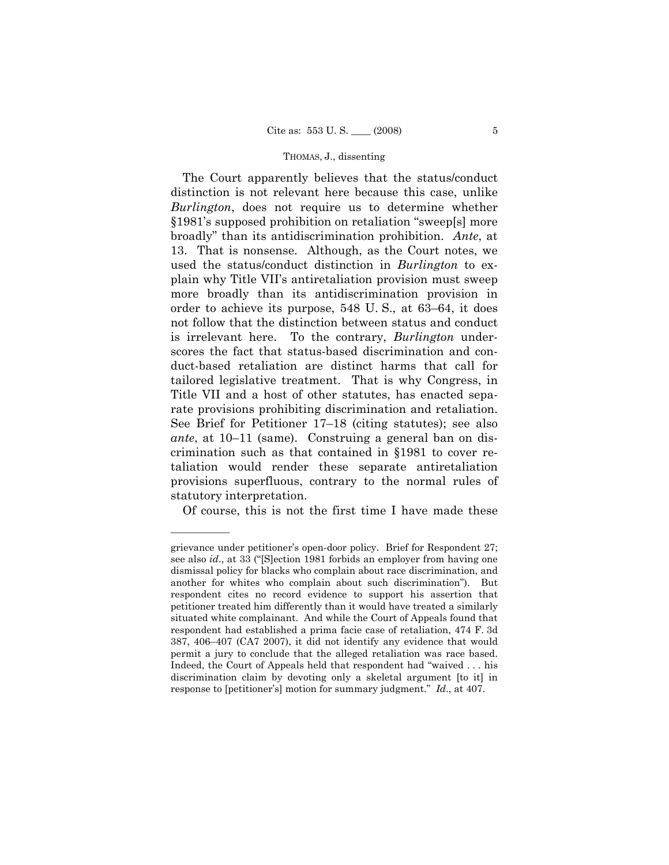The Court apparently believes that the status/conduct distinction is not relevant here because this case, unlike *Burlington*, does not require us to determine whether §1981's supposed prohibition on retaliation "sweep[s] more broadly" than its antidiscrimination prohibition. *Ante*, at 13. That is nonsense. Although, as the Court notes, we used the status/conduct distinction in *Burlington* to explain why Title VII's antiretaliation provision must sweep more broadly than its antidiscrimination provision in order to achieve its purpose, 548 U. S., at 63–64, it does not follow that the distinction between status and conduct is irrelevant here. To the contrary, *Burlington* underscores the fact that status-based discrimination and conduct-based retaliation are distinct harms that call for tailored legislative treatment. That is why Congress, in Title VII and a host of other statutes, has enacted separate provisions prohibiting discrimination and retaliation. See Brief for Petitioner 17–18 (citing statutes); see also *ante*, at 10–11 (same). Construing a general ban on discrimination such as that contained in §1981 to cover retaliation would render these separate antiretaliation provisions superfluous, contrary to the normal rules of statutory interpretation.

Of course, this is not the first time I have made these

grievance under petitioner's open-door policy. Brief for Respondent 27; see also *id*., at 33 ("[S]ection 1981 forbids an employer from having one dismissal policy for blacks who complain about race discrimination, and another for whites who complain about such discrimination"). But respondent cites no record evidence to support his assertion that petitioner treated him differently than it would have treated a similarly situated white complainant. And while the Court of Appeals found that respondent had established a prima facie case of retaliation, 474 F. 3d 387, 406–407 (CA7 2007), it did not identify any evidence that would permit a jury to conclude that the alleged retaliation was race based. Indeed, the Court of Appeals held that respondent had "waived . . . his discrimination claim by devoting only a skeletal argument [to it] in response to [petitioner's] motion for summary judgment." *Id*., at 407.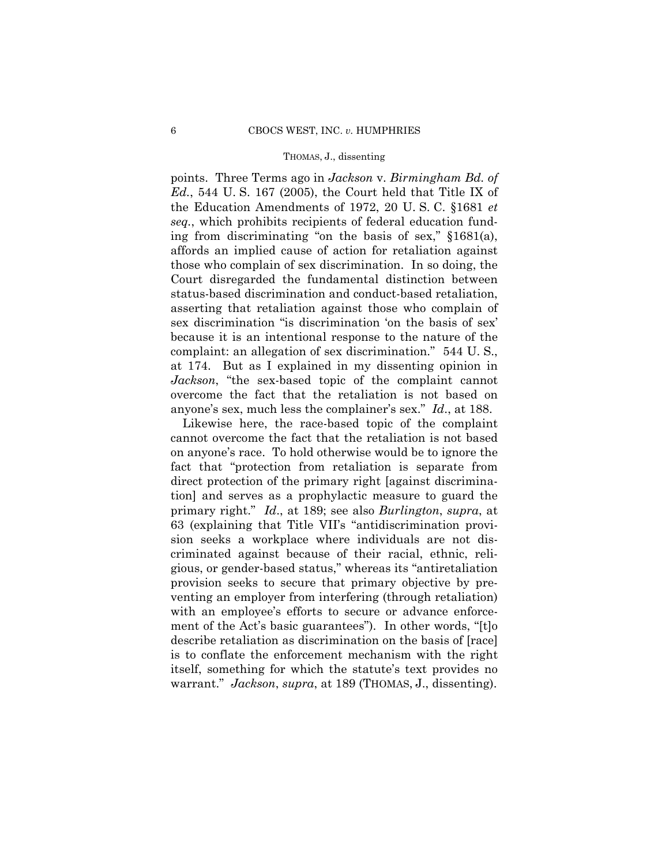points. Three Terms ago in *Jackson* v. *Birmingham Bd. of Ed.*, 544 U. S. 167 (2005), the Court held that Title IX of the Education Amendments of 1972, 20 U. S. C. §1681 *et seq.*, which prohibits recipients of federal education funding from discriminating "on the basis of sex," §1681(a), affords an implied cause of action for retaliation against those who complain of sex discrimination. In so doing, the Court disregarded the fundamental distinction between status-based discrimination and conduct-based retaliation, asserting that retaliation against those who complain of sex discrimination "is discrimination 'on the basis of sex' because it is an intentional response to the nature of the complaint: an allegation of sex discrimination." 544 U. S., at 174. But as I explained in my dissenting opinion in *Jackson*, "the sex-based topic of the complaint cannot overcome the fact that the retaliation is not based on anyone's sex, much less the complainer's sex." *Id*., at 188.

ment of the Act's basic guarantees"). In other words, "[t]o Likewise here, the race-based topic of the complaint cannot overcome the fact that the retaliation is not based on anyone's race. To hold otherwise would be to ignore the fact that "protection from retaliation is separate from direct protection of the primary right [against discrimination] and serves as a prophylactic measure to guard the primary right." *Id*., at 189; see also *Burlington*, *supra*, at 63 (explaining that Title VII's "antidiscrimination provision seeks a workplace where individuals are not discriminated against because of their racial, ethnic, religious, or gender-based status," whereas its "antiretaliation provision seeks to secure that primary objective by preventing an employer from interfering (through retaliation) with an employee's efforts to secure or advance enforcedescribe retaliation as discrimination on the basis of [race] is to conflate the enforcement mechanism with the right itself, something for which the statute's text provides no warrant." *Jackson*, *supra*, at 189 (THOMAS, J., dissenting).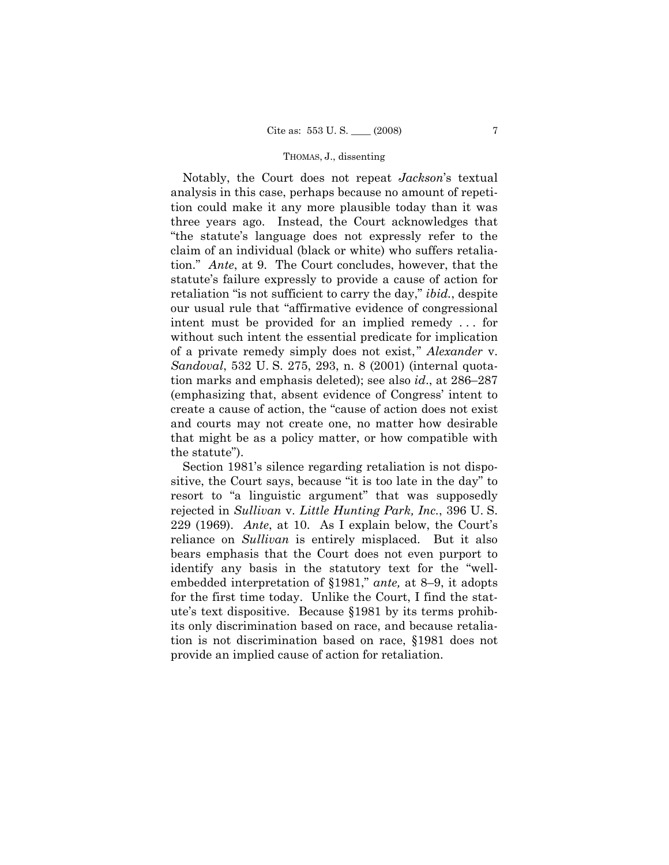Notably, the Court does not repeat *Jackson*'s textual analysis in this case, perhaps because no amount of repetition could make it any more plausible today than it was three years ago. Instead, the Court acknowledges that "the statute's language does not expressly refer to the claim of an individual (black or white) who suffers retaliation." *Ante*, at 9. The Court concludes, however, that the statute's failure expressly to provide a cause of action for retaliation "is not sufficient to carry the day," *ibid.*, despite our usual rule that "affirmative evidence of congressional intent must be provided for an implied remedy . . . for without such intent the essential predicate for implication of a private remedy simply does not exist," *Alexander* v. *Sandoval*, 532 U. S. 275, 293, n. 8 (2001) (internal quotation marks and emphasis deleted); see also *id*., at 286–287 (emphasizing that, absent evidence of Congress' intent to create a cause of action, the "cause of action does not exist and courts may not create one, no matter how desirable that might be as a policy matter, or how compatible with the statute").

Section 1981's silence regarding retaliation is not dispositive, the Court says, because "it is too late in the day" to resort to "a linguistic argument" that was supposedly rejected in *Sullivan* v. *Little Hunting Park, Inc.*, 396 U. S. 229 (1969). *Ante*, at 10. As I explain below, the Court's reliance on *Sullivan* is entirely misplaced. But it also bears emphasis that the Court does not even purport to identify any basis in the statutory text for the "wellembedded interpretation of §1981," *ante,* at 8–9, it adopts for the first time today. Unlike the Court, I find the statute's text dispositive. Because §1981 by its terms prohibits only discrimination based on race, and because retaliation is not discrimination based on race, §1981 does not provide an implied cause of action for retaliation.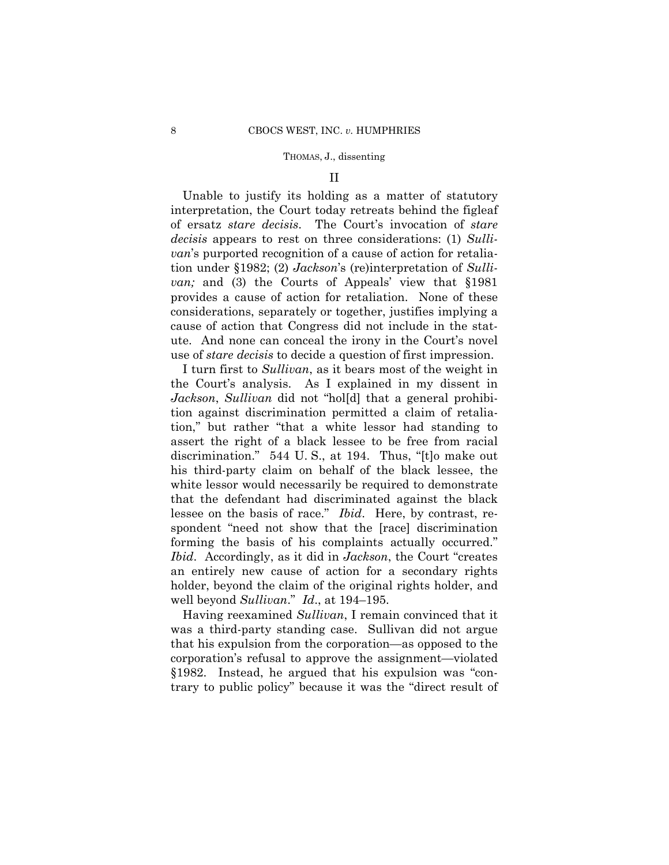### II

Unable to justify its holding as a matter of statutory interpretation, the Court today retreats behind the figleaf of ersatz *stare decisis*. The Court's invocation of *stare decisis* appears to rest on three considerations: (1) *Sullivan*'s purported recognition of a cause of action for retaliation under §1982; (2) *Jackson*'s (re)interpretation of *Sullivan;* and (3) the Courts of Appeals' view that §1981 provides a cause of action for retaliation. None of these considerations, separately or together, justifies implying a cause of action that Congress did not include in the statute. And none can conceal the irony in the Court's novel use of *stare decisis* to decide a question of first impression.

I turn first to *Sullivan*, as it bears most of the weight in the Court's analysis. As I explained in my dissent in *Jackson*, *Sullivan* did not "hol[d] that a general prohibition against discrimination permitted a claim of retaliation," but rather "that a white lessor had standing to assert the right of a black lessee to be free from racial discrimination." 544 U. S., at 194. Thus, "[t]o make out his third-party claim on behalf of the black lessee, the white lessor would necessarily be required to demonstrate that the defendant had discriminated against the black lessee on the basis of race." *Ibid*. Here, by contrast, respondent "need not show that the [race] discrimination forming the basis of his complaints actually occurred." *Ibid*. Accordingly, as it did in *Jackson*, the Court "creates an entirely new cause of action for a secondary rights holder, beyond the claim of the original rights holder, and well beyond *Sullivan*." *Id*., at 194–195.

 Having reexamined *Sullivan*, I remain convinced that it was a third-party standing case. Sullivan did not argue that his expulsion from the corporation—as opposed to the corporation's refusal to approve the assignment—violated §1982. Instead, he argued that his expulsion was "contrary to public policy" because it was the "direct result of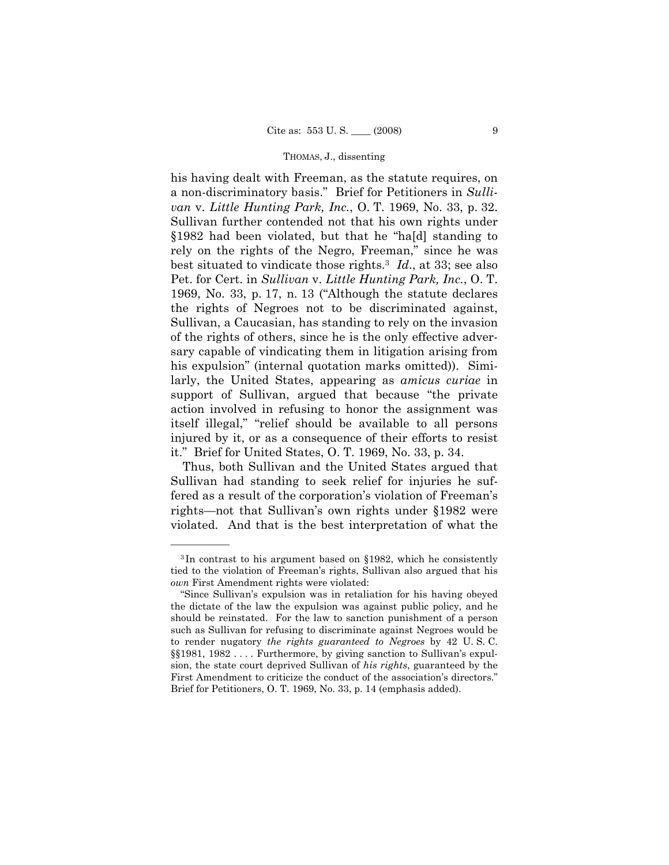best situated to vindicate those rights.3 *Id*., at 33; see also his having dealt with Freeman, as the statute requires, on a non-discriminatory basis." Brief for Petitioners in *Sullivan* v. *Little Hunting Park, Inc.*, O. T. 1969, No. 33, p. 32. Sullivan further contended not that his own rights under §1982 had been violated, but that he "ha[d] standing to rely on the rights of the Negro, Freeman," since he was Pet. for Cert. in *Sullivan* v. *Little Hunting Park, Inc.*, O. T. 1969, No. 33, p. 17, n. 13 ("Although the statute declares the rights of Negroes not to be discriminated against, Sullivan, a Caucasian, has standing to rely on the invasion of the rights of others, since he is the only effective adversary capable of vindicating them in litigation arising from his expulsion" (internal quotation marks omitted)). Similarly, the United States, appearing as *amicus curiae* in support of Sullivan, argued that because "the private action involved in refusing to honor the assignment was itself illegal," "relief should be available to all persons injured by it, or as a consequence of their efforts to resist it." Brief for United States, O. T. 1969, No. 33, p. 34.

Thus, both Sullivan and the United States argued that Sullivan had standing to seek relief for injuries he suffered as a result of the corporation's violation of Freeman's rights—not that Sullivan's own rights under §1982 were violated. And that is the best interpretation of what the

<sup>3</sup> In contrast to his argument based on §1982, which he consistently tied to the violation of Freeman's rights, Sullivan also argued that his *own* First Amendment rights were violated:

<sup>&</sup>quot;Since Sullivan's expulsion was in retaliation for his having obeyed the dictate of the law the expulsion was against public policy, and he should be reinstated. For the law to sanction punishment of a person such as Sullivan for refusing to discriminate against Negroes would be to render nugatory *the rights guaranteed to Negroes* by 42 U. S. C. §§1981, 1982 . . . . Furthermore, by giving sanction to Sullivan's expulsion, the state court deprived Sullivan of *his rights*, guaranteed by the First Amendment to criticize the conduct of the association's directors." Brief for Petitioners, O. T. 1969, No. 33, p. 14 (emphasis added).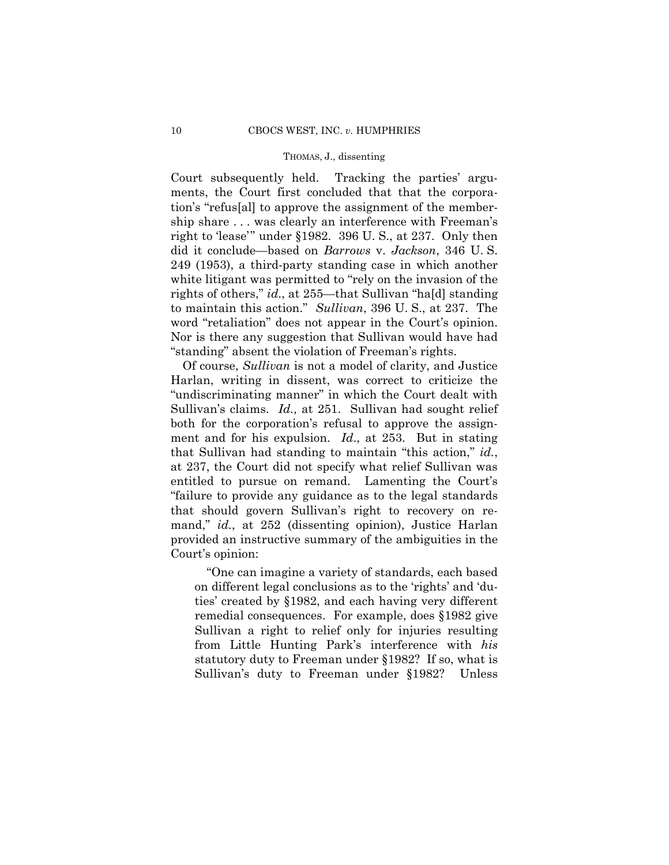to maintain this action." *Sullivan*, 396 U. S., at 237. The Court subsequently held. Tracking the parties' arguments, the Court first concluded that that the corporation's "refus[al] to approve the assignment of the membership share . . . was clearly an interference with Freeman's right to 'lease'" under §1982. 396 U. S., at 237. Only then did it conclude—based on *Barrows* v. *Jackson*, 346 U. S. 249 (1953), a third-party standing case in which another white litigant was permitted to "rely on the invasion of the rights of others," *id*., at 255—that Sullivan "ha[d] standing word "retaliation" does not appear in the Court's opinion. Nor is there any suggestion that Sullivan would have had "standing" absent the violation of Freeman's rights.

 Of course, *Sullivan* is not a model of clarity, and Justice Harlan, writing in dissent, was correct to criticize the "undiscriminating manner" in which the Court dealt with Sullivan's claims. *Id.,* at 251. Sullivan had sought relief both for the corporation's refusal to approve the assignment and for his expulsion. *Id*., at 253. But in stating that Sullivan had standing to maintain "this action," *id.*, at 237, the Court did not specify what relief Sullivan was entitled to pursue on remand. Lamenting the Court's "failure to provide any guidance as to the legal standards that should govern Sullivan's right to recovery on remand," *id.*, at 252 (dissenting opinion), Justice Harlan provided an instructive summary of the ambiguities in the Court's opinion:

"One can imagine a variety of standards, each based on different legal conclusions as to the 'rights' and 'duties' created by §1982, and each having very different remedial consequences. For example, does §1982 give Sullivan a right to relief only for injuries resulting from Little Hunting Park's interference with *his*  statutory duty to Freeman under §1982? If so, what is Sullivan's duty to Freeman under §1982? Unless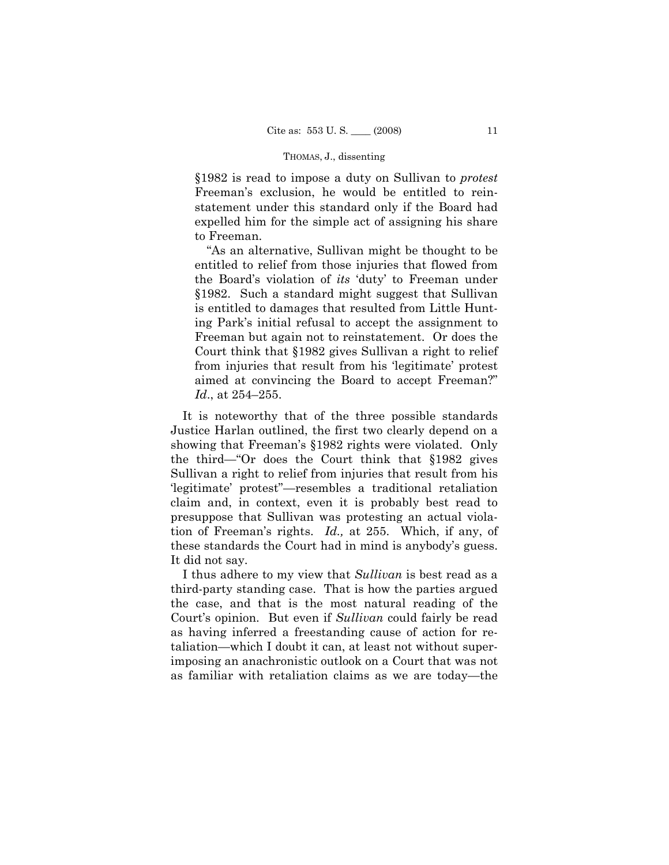§1982 is read to impose a duty on Sullivan to *protest* Freeman's exclusion, he would be entitled to reinstatement under this standard only if the Board had expelled him for the simple act of assigning his share to Freeman.

"As an alternative, Sullivan might be thought to be entitled to relief from those injuries that flowed from the Board's violation of *its* 'duty' to Freeman under §1982. Such a standard might suggest that Sullivan is entitled to damages that resulted from Little Hunting Park's initial refusal to accept the assignment to Freeman but again not to reinstatement. Or does the Court think that §1982 gives Sullivan a right to relief from injuries that result from his 'legitimate' protest aimed at convincing the Board to accept Freeman?" *Id*., at 254–255.

It is noteworthy that of the three possible standards Justice Harlan outlined, the first two clearly depend on a showing that Freeman's §1982 rights were violated. Only the third—"Or does the Court think that §1982 gives Sullivan a right to relief from injuries that result from his 'legitimate' protest"—resembles a traditional retaliation claim and, in context, even it is probably best read to presuppose that Sullivan was protesting an actual violation of Freeman's rights. *Id.,* at 255. Which, if any, of these standards the Court had in mind is anybody's guess. It did not say.

I thus adhere to my view that *Sullivan* is best read as a third-party standing case. That is how the parties argued the case, and that is the most natural reading of the Court's opinion. But even if *Sullivan* could fairly be read as having inferred a freestanding cause of action for retaliation—which I doubt it can, at least not without superimposing an anachronistic outlook on a Court that was not as familiar with retaliation claims as we are today—the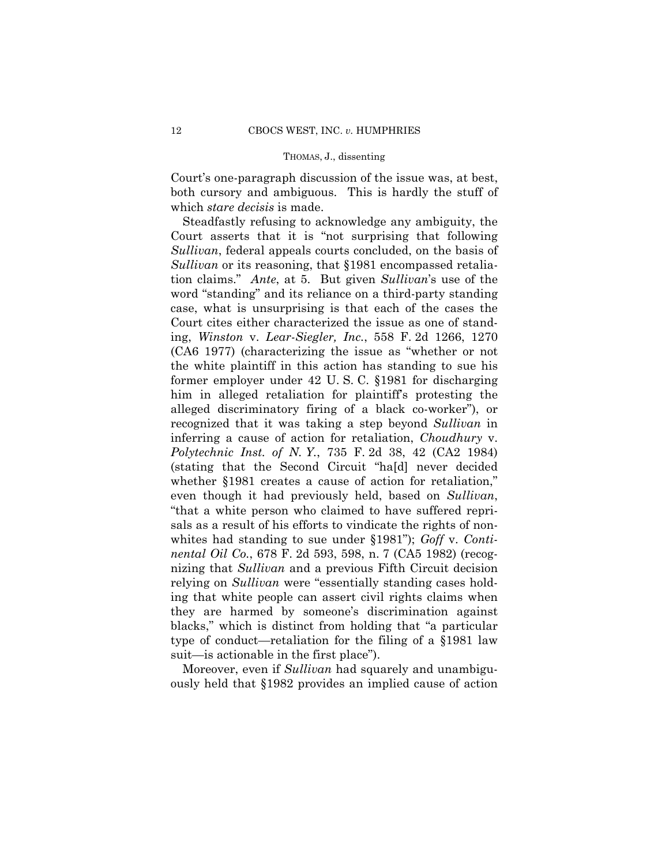Court's one-paragraph discussion of the issue was, at best, both cursory and ambiguous. This is hardly the stuff of which *stare decisis* is made.

Steadfastly refusing to acknowledge any ambiguity, the Court asserts that it is "not surprising that following *Sullivan*, federal appeals courts concluded, on the basis of *Sullivan* or its reasoning, that §1981 encompassed retaliation claims." *Ante*, at 5. But given *Sullivan*'s use of the word "standing" and its reliance on a third-party standing case, what is unsurprising is that each of the cases the Court cites either characterized the issue as one of standing, *Winston* v. *Lear-Siegler, Inc.*, 558 F. 2d 1266, 1270 (CA6 1977) (characterizing the issue as "whether or not the white plaintiff in this action has standing to sue his former employer under 42 U. S. C. §1981 for discharging him in alleged retaliation for plaintiff's protesting the alleged discriminatory firing of a black co-worker"), or recognized that it was taking a step beyond *Sullivan* in inferring a cause of action for retaliation, *Choudhury* v. *Polytechnic Inst. of N. Y.*, 735 F. 2d 38, 42 (CA2 1984) (stating that the Second Circuit "ha[d] never decided whether §1981 creates a cause of action for retaliation," even though it had previously held, based on *Sullivan*, "that a white person who claimed to have suffered reprisals as a result of his efforts to vindicate the rights of nonwhites had standing to sue under §1981"); *Goff* v. *Continental Oil Co.*, 678 F. 2d 593, 598, n. 7 (CA5 1982) (recognizing that *Sullivan* and a previous Fifth Circuit decision relying on *Sullivan* were "essentially standing cases holding that white people can assert civil rights claims when they are harmed by someone's discrimination against blacks," which is distinct from holding that "a particular type of conduct—retaliation for the filing of a §1981 law suit—is actionable in the first place").

Moreover, even if *Sullivan* had squarely and unambiguously held that §1982 provides an implied cause of action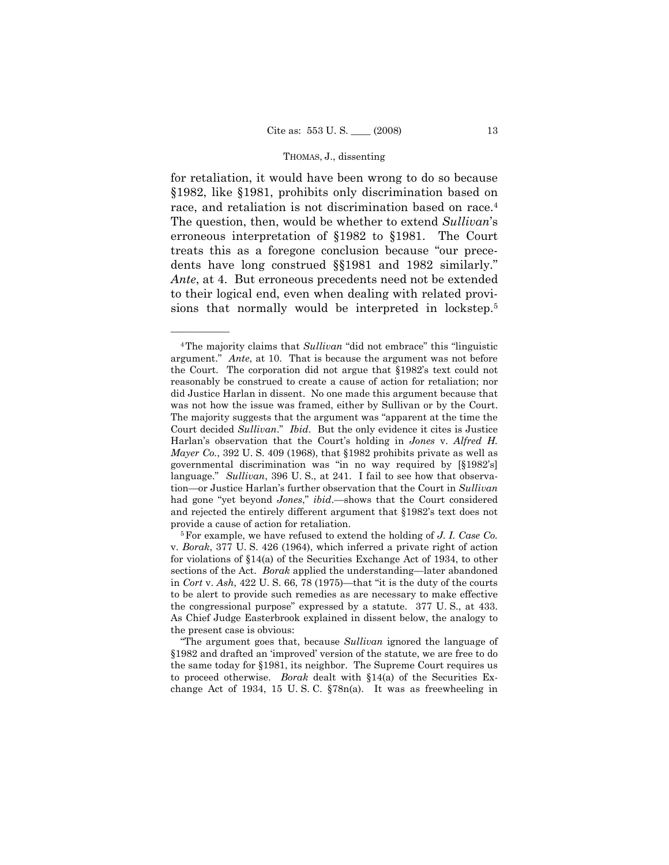for retaliation, it would have been wrong to do so because §1982, like §1981, prohibits only discrimination based on race, and retaliation is not discrimination based on race.<sup>4</sup> The question, then, would be whether to extend *Sullivan*'s erroneous interpretation of §1982 to §1981. The Court treats this as a foregone conclusion because "our precedents have long construed §§1981 and 1982 similarly." *Ante*, at 4. But erroneous precedents need not be extended to their logical end, even when dealing with related provisions that normally would be interpreted in lockstep.5

<sup>4</sup>The majority claims that *Sullivan* "did not embrace" this "linguistic argument." *Ante*, at 10. That is because the argument was not before the Court. The corporation did not argue that §1982's text could not reasonably be construed to create a cause of action for retaliation; nor did Justice Harlan in dissent. No one made this argument because that was not how the issue was framed, either by Sullivan or by the Court. The majority suggests that the argument was "apparent at the time the Court decided *Sullivan*." *Ibid*. But the only evidence it cites is Justice Harlan's observation that the Court's holding in *Jones* v. *Alfred H. Mayer Co.*, 392 U. S. 409 (1968), that §1982 prohibits private as well as governmental discrimination was "in no way required by [§1982's] language." *Sullivan*, 396 U. S., at 241. I fail to see how that observation—or Justice Harlan's further observation that the Court in *Sullivan*  had gone "yet beyond *Jones*," *ibid*.—shows that the Court considered and rejected the entirely different argument that §1982's text does not provide a cause of action for retaliation.<br><sup>5</sup>For example, we have refused to extend the holding of *J. I. Case Co.* 

v. *Borak*, 377 U. S. 426 (1964), which inferred a private right of action for violations of §14(a) of the Securities Exchange Act of 1934, to other sections of the Act. *Borak* applied the understanding—later abandoned in *Cort* v. *Ash*, 422 U. S. 66, 78 (1975)—that "it is the duty of the courts to be alert to provide such remedies as are necessary to make effective the congressional purpose" expressed by a statute. 377 U. S., at 433. As Chief Judge Easterbrook explained in dissent below, the analogy to the present case is obvious:

<sup>&</sup>quot;The argument goes that, because *Sullivan* ignored the language of §1982 and drafted an 'improved' version of the statute, we are free to do the same today for §1981, its neighbor. The Supreme Court requires us to proceed otherwise. *Borak* dealt with §14(a) of the Securities Exchange Act of 1934, 15 U. S. C. §78n(a). It was as freewheeling in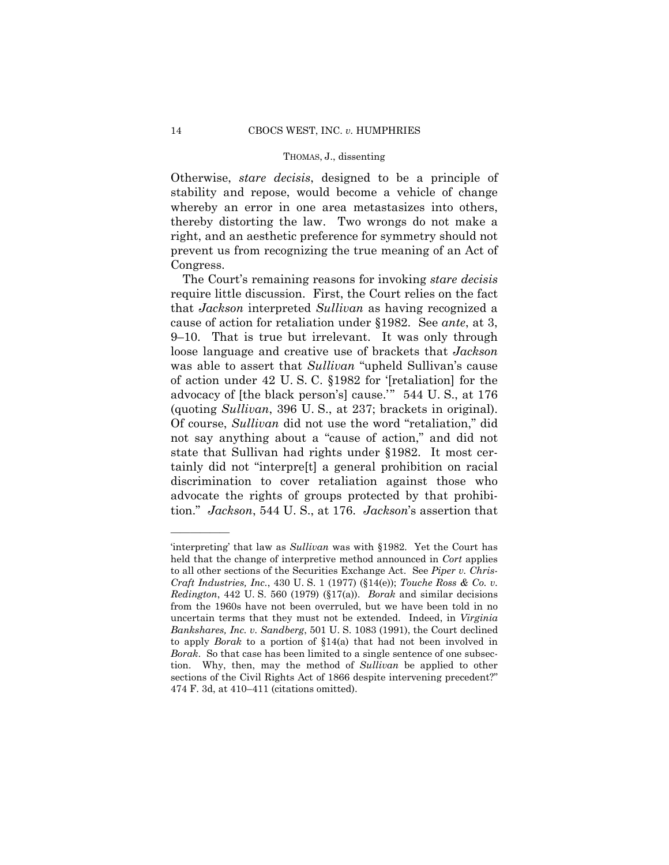Otherwise, *stare decisis*, designed to be a principle of stability and repose, would become a vehicle of change whereby an error in one area metastasizes into others, thereby distorting the law. Two wrongs do not make a right, and an aesthetic preference for symmetry should not prevent us from recognizing the true meaning of an Act of Congress.

 tion." *Jackson*, 544 U. S., at 176. *Jackson*'s assertion that The Court's remaining reasons for invoking *stare decisis*  require little discussion. First, the Court relies on the fact that *Jackson* interpreted *Sullivan* as having recognized a cause of action for retaliation under §1982. See *ante*, at 3, 9–10. That is true but irrelevant. It was only through loose language and creative use of brackets that *Jackson*  was able to assert that *Sullivan* "upheld Sullivan's cause of action under 42 U. S. C. §1982 for '[retaliation] for the advocacy of [the black person's] cause.'" 544 U. S., at 176 (quoting *Sullivan*, 396 U. S., at 237; brackets in original). Of course, *Sullivan* did not use the word "retaliation," did not say anything about a "cause of action," and did not state that Sullivan had rights under §1982. It most certainly did not "interpre[t] a general prohibition on racial discrimination to cover retaliation against those who advocate the rights of groups protected by that prohibi-

 to all other sections of the Securities Exchange Act. See *Piper v. Chris-*'interpreting' that law as *Sullivan* was with §1982. Yet the Court has held that the change of interpretive method announced in *Cort* applies *Craft Industries, Inc.*, 430 U. S. 1 (1977) (§14(e)); *Touche Ross & Co. v. Redington*, 442 U. S. 560 (1979) (§17(a)). *Borak* and similar decisions from the 1960s have not been overruled, but we have been told in no uncertain terms that they must not be extended. Indeed, in *Virginia Bankshares, Inc. v. Sandberg*, 501 U. S. 1083 (1991), the Court declined to apply *Borak* to a portion of §14(a) that had not been involved in *Borak*. So that case has been limited to a single sentence of one subsection. Why, then, may the method of *Sullivan* be applied to other sections of the Civil Rights Act of 1866 despite intervening precedent?" 474 F. 3d, at 410–411 (citations omitted).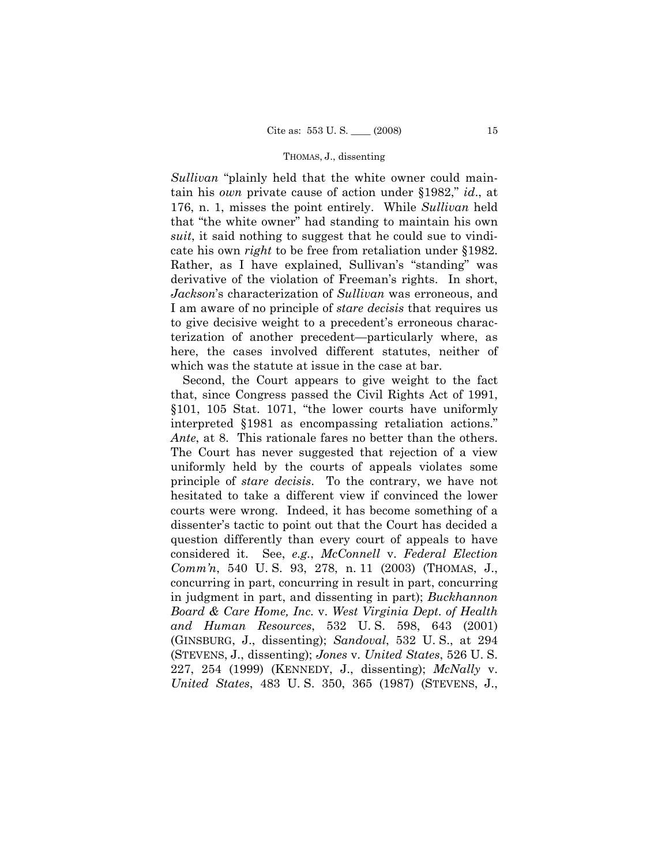*Sullivan* "plainly held that the white owner could maintain his *own* private cause of action under §1982," *id*., at 176, n. 1, misses the point entirely. While *Sullivan* held that "the white owner" had standing to maintain his own *suit*, it said nothing to suggest that he could sue to vindicate his own *right* to be free from retaliation under §1982. Rather, as I have explained, Sullivan's "standing" was derivative of the violation of Freeman's rights. In short, *Jackson*'s characterization of *Sullivan* was erroneous, and I am aware of no principle of *stare decisis* that requires us to give decisive weight to a precedent's erroneous characterization of another precedent—particularly where, as here, the cases involved different statutes, neither of which was the statute at issue in the case at bar.

Second, the Court appears to give weight to the fact that, since Congress passed the Civil Rights Act of 1991, §101, 105 Stat. 1071, "the lower courts have uniformly interpreted §1981 as encompassing retaliation actions." *Ante*, at 8. This rationale fares no better than the others. The Court has never suggested that rejection of a view uniformly held by the courts of appeals violates some principle of *stare decisis*. To the contrary, we have not hesitated to take a different view if convinced the lower courts were wrong. Indeed, it has become something of a dissenter's tactic to point out that the Court has decided a question differently than every court of appeals to have considered it. See, *e.g.*, *McConnell* v. *Federal Election Comm'n*, 540 U. S. 93, 278, n. 11 (2003) (THOMAS, J., concurring in part, concurring in result in part, concurring in judgment in part, and dissenting in part); *Buckhannon Board & Care Home, Inc.* v. *West Virginia Dept. of Health and Human Resources*, 532 U. S. 598, 643 (2001) (GINSBURG, J., dissenting); *Sandoval*, 532 U. S., at 294 (STEVENS, J., dissenting); *Jones* v. *United States*, 526 U. S. 227, 254 (1999) (KENNEDY, J., dissenting); *McNally* v. *United States*, 483 U. S. 350, 365 (1987) (STEVENS, J.,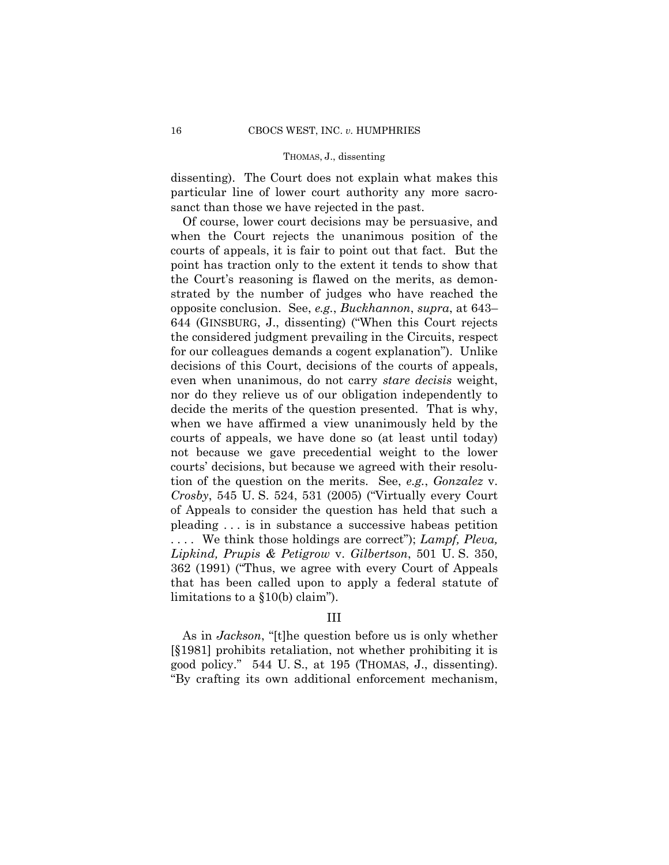dissenting). The Court does not explain what makes this particular line of lower court authority any more sacrosanct than those we have rejected in the past.

Of course, lower court decisions may be persuasive, and when the Court rejects the unanimous position of the courts of appeals, it is fair to point out that fact. But the point has traction only to the extent it tends to show that the Court's reasoning is flawed on the merits, as demonstrated by the number of judges who have reached the opposite conclusion. See, *e.g.*, *Buckhannon*, *supra*, at 643– 644 (GINSBURG, J., dissenting) ("When this Court rejects the considered judgment prevailing in the Circuits, respect for our colleagues demands a cogent explanation"). Unlike decisions of this Court, decisions of the courts of appeals, even when unanimous, do not carry *stare decisis* weight, nor do they relieve us of our obligation independently to decide the merits of the question presented. That is why, when we have affirmed a view unanimously held by the courts of appeals, we have done so (at least until today) not because we gave precedential weight to the lower courts' decisions, but because we agreed with their resolution of the question on the merits. See, *e.g.*, *Gonzalez* v. *Crosby*, 545 U. S. 524, 531 (2005) ("Virtually every Court of Appeals to consider the question has held that such a pleading . . . is in substance a successive habeas petition . . . . We think those holdings are correct"); *Lampf, Pleva, Lipkind, Prupis & Petigrow* v. *Gilbertson*, 501 U. S. 350, 362 (1991) ("Thus, we agree with every Court of Appeals that has been called upon to apply a federal statute of limitations to a §10(b) claim").

### III

 As in *Jackson*, "[t]he question before us is only whether [§1981] prohibits retaliation, not whether prohibiting it is good policy." 544 U. S., at 195 (THOMAS, J., dissenting). "By crafting its own additional enforcement mechanism,